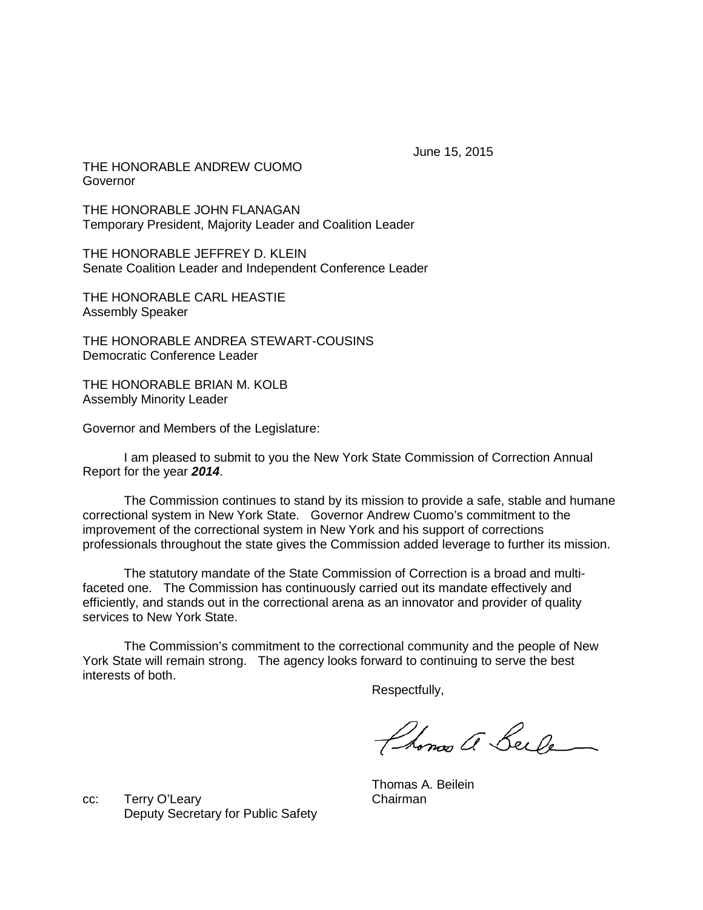June 15, 2015

THE HONORABLE ANDREW CUOMO Governor

THE HONORABLE JOHN FLANAGAN Temporary President, Majority Leader and Coalition Leader

THE HONORABLE JEFFREY D. KLEIN Senate Coalition Leader and Independent Conference Leader

THE HONORABLE CARL HEASTIE Assembly Speaker

THE HONORABLE ANDREA STEWART-COUSINS Democratic Conference Leader

THE HONORABLE BRIAN M. KOLB Assembly Minority Leader

Governor and Members of the Legislature:

I am pleased to submit to you the New York State Commission of Correction Annual Report for the year *2014*.

The Commission continues to stand by its mission to provide a safe, stable and humane correctional system in New York State. Governor Andrew Cuomo's commitment to the improvement of the correctional system in New York and his support of corrections professionals throughout the state gives the Commission added leverage to further its mission.

The statutory mandate of the State Commission of Correction is a broad and multifaceted one. The Commission has continuously carried out its mandate effectively and efficiently, and stands out in the correctional arena as an innovator and provider of quality services to New York State.

The Commission's commitment to the correctional community and the people of New York State will remain strong. The agency looks forward to continuing to serve the best interests of both.

Respectfully,

Phonos a Beile

cc: Terry O'Leary Chairman Deputy Secretary for Public Safety

Thomas A. Beilein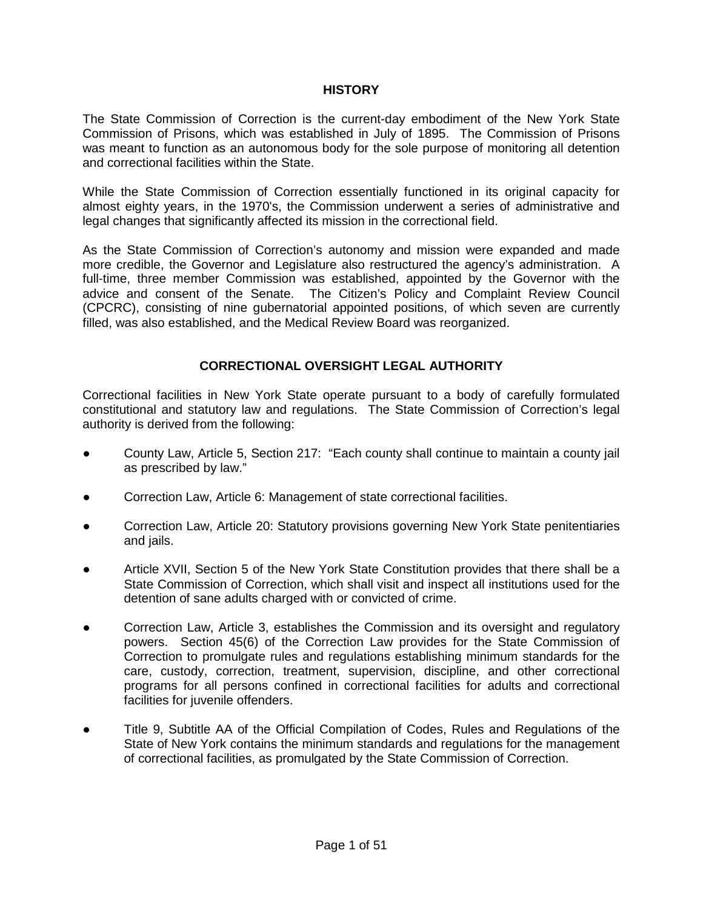# **HISTORY**

The State Commission of Correction is the current-day embodiment of the New York State Commission of Prisons, which was established in July of 1895. The Commission of Prisons was meant to function as an autonomous body for the sole purpose of monitoring all detention and correctional facilities within the State.

While the State Commission of Correction essentially functioned in its original capacity for almost eighty years, in the 1970's, the Commission underwent a series of administrative and legal changes that significantly affected its mission in the correctional field.

As the State Commission of Correction's autonomy and mission were expanded and made more credible, the Governor and Legislature also restructured the agency's administration. A full-time, three member Commission was established, appointed by the Governor with the advice and consent of the Senate. The Citizen's Policy and Complaint Review Council (CPCRC), consisting of nine gubernatorial appointed positions, of which seven are currently filled, was also established, and the Medical Review Board was reorganized.

# **CORRECTIONAL OVERSIGHT LEGAL AUTHORITY**

Correctional facilities in New York State operate pursuant to a body of carefully formulated constitutional and statutory law and regulations. The State Commission of Correction's legal authority is derived from the following:

- County Law, Article 5, Section 217: "Each county shall continue to maintain a county jail as prescribed by law."
- Correction Law, Article 6: Management of state correctional facilities.
- Correction Law, Article 20: Statutory provisions governing New York State penitentiaries and jails.
- Article XVII, Section 5 of the New York State Constitution provides that there shall be a State Commission of Correction, which shall visit and inspect all institutions used for the detention of sane adults charged with or convicted of crime.
- Correction Law, Article 3, establishes the Commission and its oversight and regulatory powers. Section 45(6) of the Correction Law provides for the State Commission of Correction to promulgate rules and regulations establishing minimum standards for the care, custody, correction, treatment, supervision, discipline, and other correctional programs for all persons confined in correctional facilities for adults and correctional facilities for juvenile offenders.
- Title 9, Subtitle AA of the Official Compilation of Codes, Rules and Regulations of the State of New York contains the minimum standards and regulations for the management of correctional facilities, as promulgated by the State Commission of Correction.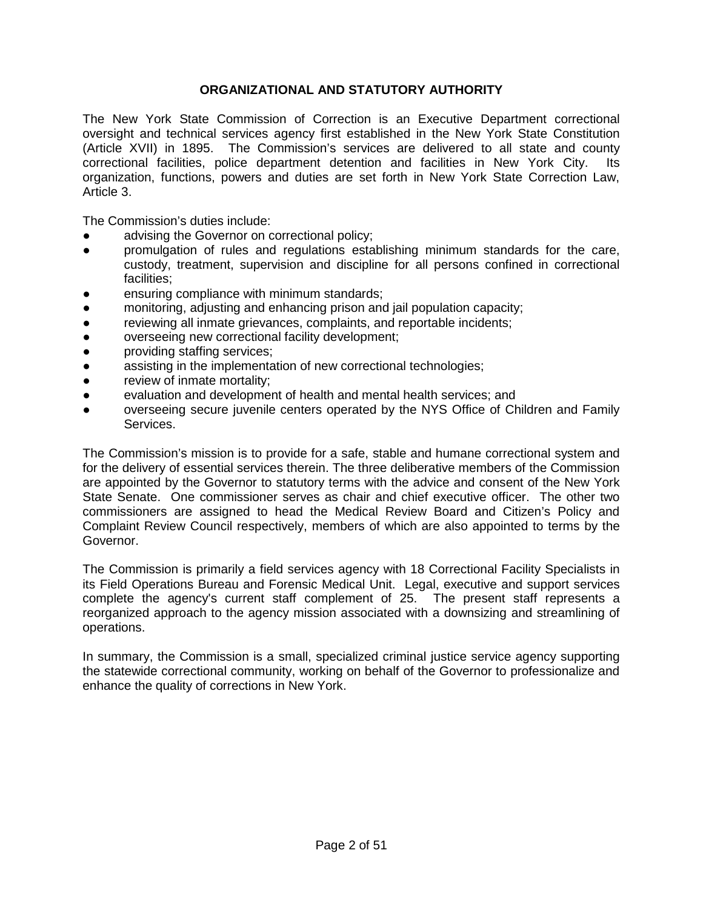# **ORGANIZATIONAL AND STATUTORY AUTHORITY**

The New York State Commission of Correction is an Executive Department correctional oversight and technical services agency first established in the New York State Constitution (Article XVII) in 1895. The Commission's services are delivered to all state and county correctional facilities, police department detention and facilities in New York City. Its organization, functions, powers and duties are set forth in New York State Correction Law, Article 3.

The Commission's duties include:

- advising the Governor on correctional policy;
- promulgation of rules and regulations establishing minimum standards for the care, custody, treatment, supervision and discipline for all persons confined in correctional facilities;
- ensuring compliance with minimum standards;
- monitoring, adjusting and enhancing prison and jail population capacity;
- reviewing all inmate grievances, complaints, and reportable incidents;
- overseeing new correctional facility development;
- providing staffing services;
- assisting in the implementation of new correctional technologies;
- review of inmate mortality;
- evaluation and development of health and mental health services; and
- overseeing secure juvenile centers operated by the NYS Office of Children and Family Services.

The Commission's mission is to provide for a safe, stable and humane correctional system and for the delivery of essential services therein. The three deliberative members of the Commission are appointed by the Governor to statutory terms with the advice and consent of the New York State Senate. One commissioner serves as chair and chief executive officer. The other two commissioners are assigned to head the Medical Review Board and Citizen's Policy and Complaint Review Council respectively, members of which are also appointed to terms by the Governor.

The Commission is primarily a field services agency with 18 Correctional Facility Specialists in its Field Operations Bureau and Forensic Medical Unit. Legal, executive and support services complete the agency's current staff complement of 25. The present staff represents a reorganized approach to the agency mission associated with a downsizing and streamlining of operations.

In summary, the Commission is a small, specialized criminal justice service agency supporting the statewide correctional community, working on behalf of the Governor to professionalize and enhance the quality of corrections in New York.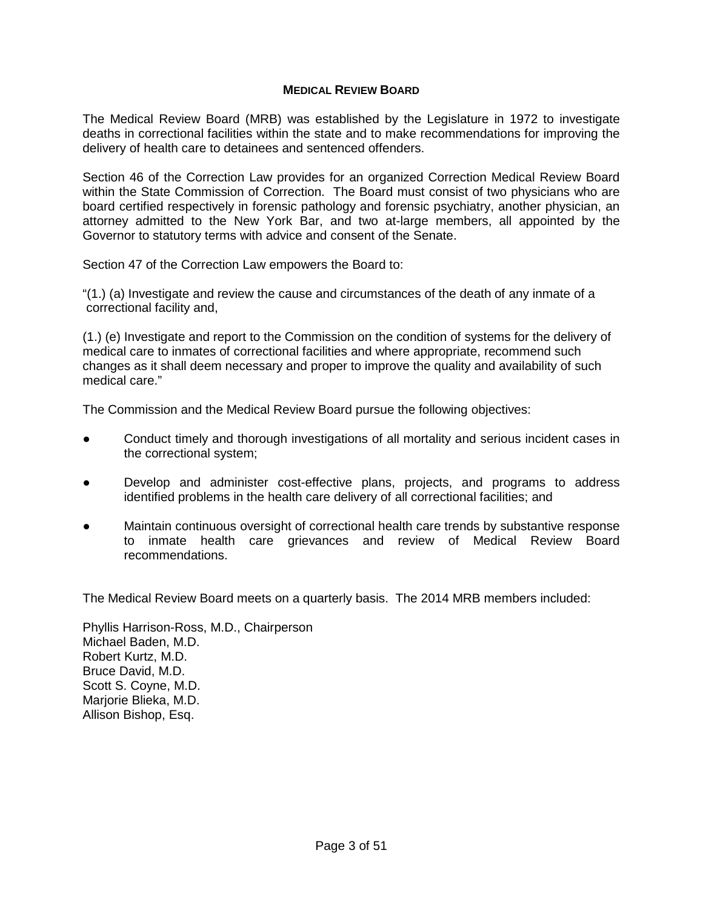# **MEDICAL REVIEW BOARD**

The Medical Review Board (MRB) was established by the Legislature in 1972 to investigate deaths in correctional facilities within the state and to make recommendations for improving the delivery of health care to detainees and sentenced offenders.

Section 46 of the Correction Law provides for an organized Correction Medical Review Board within the State Commission of Correction. The Board must consist of two physicians who are board certified respectively in forensic pathology and forensic psychiatry, another physician, an attorney admitted to the New York Bar, and two at-large members, all appointed by the Governor to statutory terms with advice and consent of the Senate.

Section 47 of the Correction Law empowers the Board to:

"(1.) (a) Investigate and review the cause and circumstances of the death of any inmate of a correctional facility and,

(1.) (e) Investigate and report to the Commission on the condition of systems for the delivery of medical care to inmates of correctional facilities and where appropriate, recommend such changes as it shall deem necessary and proper to improve the quality and availability of such medical care."

The Commission and the Medical Review Board pursue the following objectives:

- Conduct timely and thorough investigations of all mortality and serious incident cases in the correctional system;
- Develop and administer cost-effective plans, projects, and programs to address identified problems in the health care delivery of all correctional facilities; and
- Maintain continuous oversight of correctional health care trends by substantive response to inmate health care grievances and review of Medical Review Board recommendations.

The Medical Review Board meets on a quarterly basis. The 2014 MRB members included:

Phyllis Harrison-Ross, M.D., Chairperson Michael Baden, M.D. Robert Kurtz, M.D. Bruce David, M.D. Scott S. Coyne, M.D. Marjorie Blieka, M.D. Allison Bishop, Esq.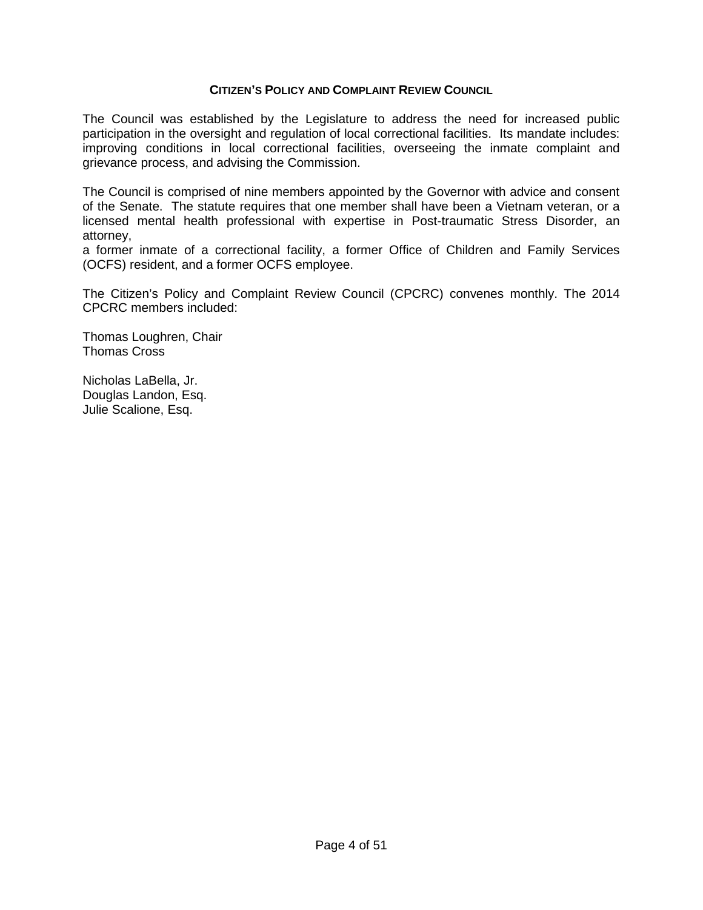# **CITIZEN'S POLICY AND COMPLAINT REVIEW COUNCIL**

The Council was established by the Legislature to address the need for increased public participation in the oversight and regulation of local correctional facilities. Its mandate includes: improving conditions in local correctional facilities, overseeing the inmate complaint and grievance process, and advising the Commission.

The Council is comprised of nine members appointed by the Governor with advice and consent of the Senate. The statute requires that one member shall have been a Vietnam veteran, or a licensed mental health professional with expertise in Post-traumatic Stress Disorder, an attorney,

a former inmate of a correctional facility, a former Office of Children and Family Services (OCFS) resident, and a former OCFS employee.

The Citizen's Policy and Complaint Review Council (CPCRC) convenes monthly. The 2014 CPCRC members included:

Thomas Loughren, Chair Thomas Cross

Nicholas LaBella, Jr. Douglas Landon, Esq. Julie Scalione, Esq.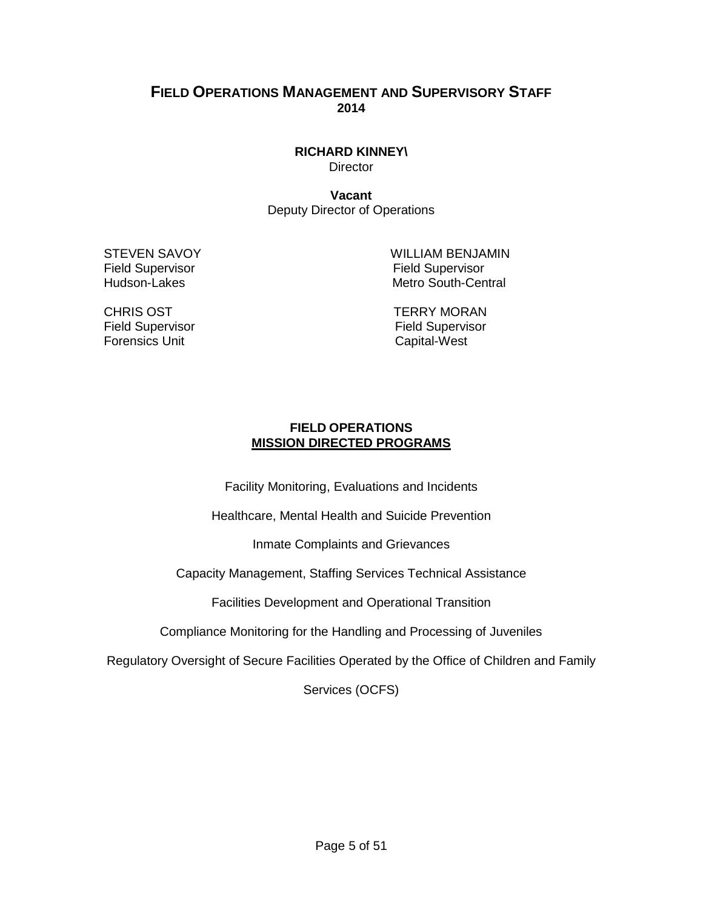# **FIELD OPERATIONS MANAGEMENT AND SUPERVISORY STAFF 2014**

**RICHARD KINNEY\ Director** 

**Vacant** Deputy Director of Operations

Field Supervisor<br>
Hudson-Lakes<br>
Hudson-Lakes<br>
The Metro South-Cen

STEVEN SAVOY WILLIAM BENJAMIN Metro South-Central

CHRIS OST TERRY MORAN Field Supervisor<br>
Field Supervisor<br>
Forensics Unit Capital-West

# **FIELD OPERATIONS MISSION DIRECTED PROGRAMS**

Facility Monitoring, Evaluations and Incidents

Healthcare, Mental Health and Suicide Prevention

Inmate Complaints and Grievances

Capacity Management, Staffing Services Technical Assistance

Facilities Development and Operational Transition

Compliance Monitoring for the Handling and Processing of Juveniles

Regulatory Oversight of Secure Facilities Operated by the Office of Children and Family

Services (OCFS)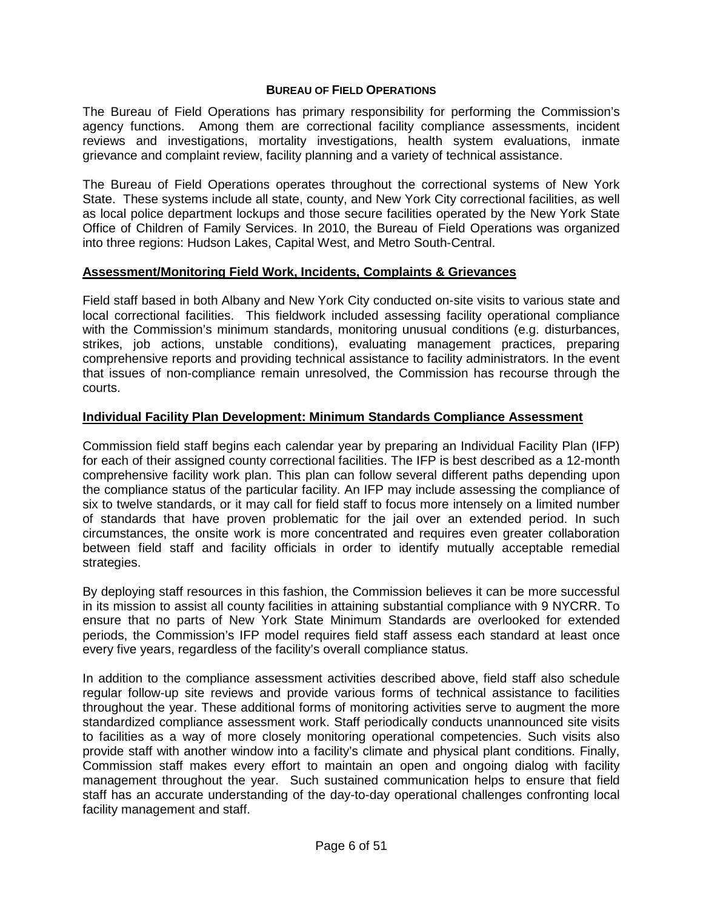# **BUREAU OF FIELD OPERATIONS**

The Bureau of Field Operations has primary responsibility for performing the Commission's agency functions. Among them are correctional facility compliance assessments, incident reviews and investigations, mortality investigations, health system evaluations, inmate grievance and complaint review, facility planning and a variety of technical assistance.

The Bureau of Field Operations operates throughout the correctional systems of New York State. These systems include all state, county, and New York City correctional facilities, as well as local police department lockups and those secure facilities operated by the New York State Office of Children of Family Services. In 2010, the Bureau of Field Operations was organized into three regions: Hudson Lakes, Capital West, and Metro South-Central.

# **Assessment/Monitoring Field Work, Incidents, Complaints & Grievances**

Field staff based in both Albany and New York City conducted on-site visits to various state and local correctional facilities. This fieldwork included assessing facility operational compliance with the Commission's minimum standards, monitoring unusual conditions (e.g. disturbances, strikes, job actions, unstable conditions), evaluating management practices, preparing comprehensive reports and providing technical assistance to facility administrators. In the event that issues of non-compliance remain unresolved, the Commission has recourse through the courts.

# **Individual Facility Plan Development: Minimum Standards Compliance Assessment**

Commission field staff begins each calendar year by preparing an Individual Facility Plan (IFP) for each of their assigned county correctional facilities. The IFP is best described as a 12-month comprehensive facility work plan. This plan can follow several different paths depending upon the compliance status of the particular facility. An IFP may include assessing the compliance of six to twelve standards, or it may call for field staff to focus more intensely on a limited number of standards that have proven problematic for the jail over an extended period. In such circumstances, the onsite work is more concentrated and requires even greater collaboration between field staff and facility officials in order to identify mutually acceptable remedial strategies.

By deploying staff resources in this fashion, the Commission believes it can be more successful in its mission to assist all county facilities in attaining substantial compliance with 9 NYCRR. To ensure that no parts of New York State Minimum Standards are overlooked for extended periods, the Commission's IFP model requires field staff assess each standard at least once every five years, regardless of the facility's overall compliance status.

In addition to the compliance assessment activities described above, field staff also schedule regular follow-up site reviews and provide various forms of technical assistance to facilities throughout the year. These additional forms of monitoring activities serve to augment the more standardized compliance assessment work. Staff periodically conducts unannounced site visits to facilities as a way of more closely monitoring operational competencies. Such visits also provide staff with another window into a facility's climate and physical plant conditions. Finally, Commission staff makes every effort to maintain an open and ongoing dialog with facility management throughout the year. Such sustained communication helps to ensure that field staff has an accurate understanding of the day-to-day operational challenges confronting local facility management and staff.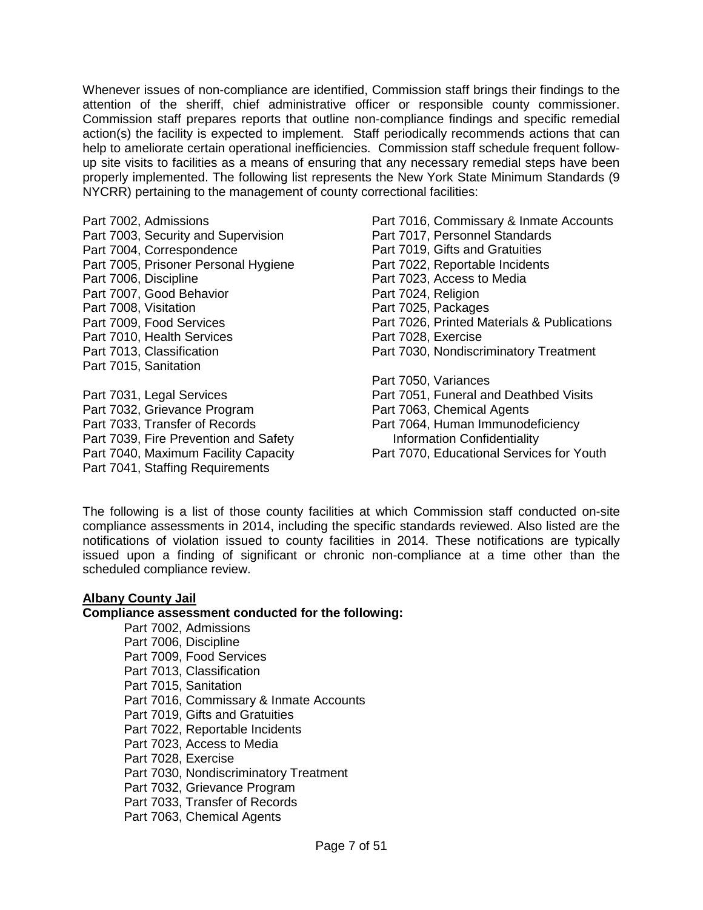Whenever issues of non-compliance are identified, Commission staff brings their findings to the attention of the sheriff, chief administrative officer or responsible county commissioner. Commission staff prepares reports that outline non-compliance findings and specific remedial action(s) the facility is expected to implement. Staff periodically recommends actions that can help to ameliorate certain operational inefficiencies. Commission staff schedule frequent followup site visits to facilities as a means of ensuring that any necessary remedial steps have been properly implemented. The following list represents the New York State Minimum Standards (9 NYCRR) pertaining to the management of county correctional facilities:

Part 7002, Admissions Part 7003, Security and Supervision Part 7004, Correspondence Part 7005, Prisoner Personal Hygiene Part 7006, Discipline Part 7007, Good Behavior Part 7008, Visitation Part 7009, Food Services Part 7010, Health Services Part 7013, Classification Part 7015, Sanitation

Part 7031, Legal Services Part 7032, Grievance Program Part 7033, Transfer of Records Part 7039, Fire Prevention and Safety Part 7040, Maximum Facility Capacity Part 7041, Staffing Requirements

Part 7016, Commissary & Inmate Accounts Part 7017, Personnel Standards Part 7019, Gifts and Gratuities Part 7022, Reportable Incidents Part 7023, Access to Media Part 7024, Religion Part 7025, Packages Part 7026, Printed Materials & Publications Part 7028, Exercise Part 7030, Nondiscriminatory Treatment Part 7050, Variances Part 7051, Funeral and Deathbed Visits Part 7063, Chemical Agents Part 7064, Human Immunodeficiency Information Confidentiality

Part 7070, Educational Services for Youth

The following is a list of those county facilities at which Commission staff conducted on-site compliance assessments in 2014, including the specific standards reviewed. Also listed are the notifications of violation issued to county facilities in 2014. These notifications are typically issued upon a finding of significant or chronic non-compliance at a time other than the scheduled compliance review.

### **Albany County Jail**

### **Compliance assessment conducted for the following:**

Part 7002, Admissions Part 7006, Discipline Part 7009, Food Services Part 7013, Classification Part 7015, Sanitation Part 7016, Commissary & Inmate Accounts Part 7019, Gifts and Gratuities Part 7022, Reportable Incidents Part 7023, Access to Media Part 7028, Exercise Part 7030, Nondiscriminatory Treatment Part 7032, Grievance Program Part 7033, Transfer of Records Part 7063, Chemical Agents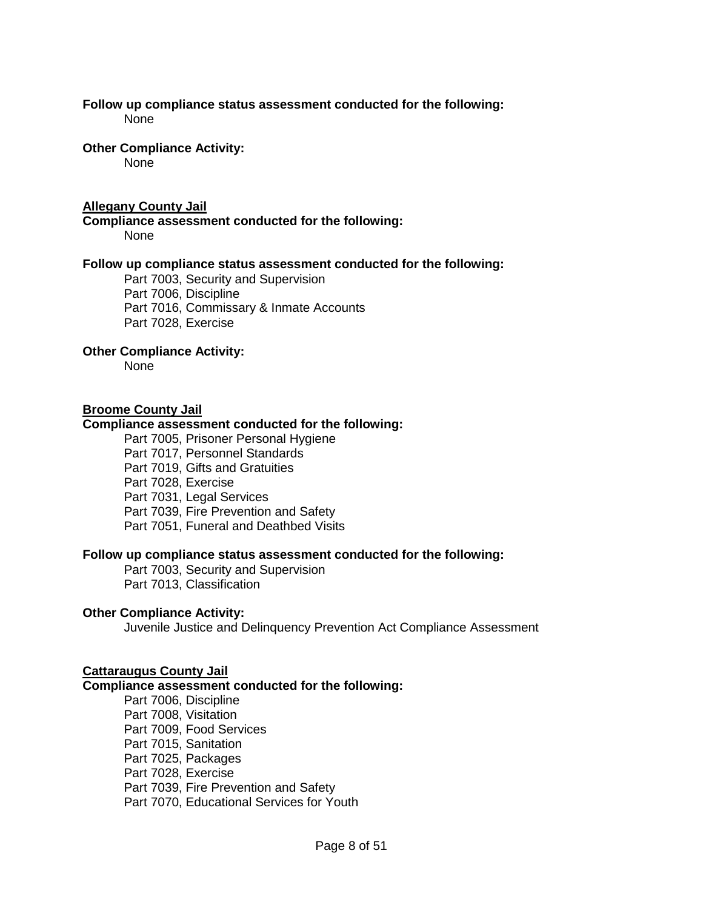#### **Follow up compliance status assessment conducted for the following:**  None

**Other Compliance Activity:** 

None

# **Allegany County Jail**

**Compliance assessment conducted for the following:** None

# **Follow up compliance status assessment conducted for the following:**

Part 7003, Security and Supervision Part 7006, Discipline Part 7016, Commissary & Inmate Accounts Part 7028, Exercise

# **Other Compliance Activity:**

None

# **Broome County Jail**

# **Compliance assessment conducted for the following:**

Part 7005, Prisoner Personal Hygiene Part 7017, Personnel Standards Part 7019, Gifts and Gratuities Part 7028, Exercise Part 7031, Legal Services Part 7039, Fire Prevention and Safety Part 7051, Funeral and Deathbed Visits

### **Follow up compliance status assessment conducted for the following:**

Part 7003, Security and Supervision Part 7013, Classification

# **Other Compliance Activity:**

Juvenile Justice and Delinquency Prevention Act Compliance Assessment

### **Cattaraugus County Jail**

### **Compliance assessment conducted for the following:**

Part 7006, Discipline Part 7008, Visitation Part 7009, Food Services Part 7015, Sanitation Part 7025, Packages Part 7028, Exercise Part 7039, Fire Prevention and Safety Part 7070, Educational Services for Youth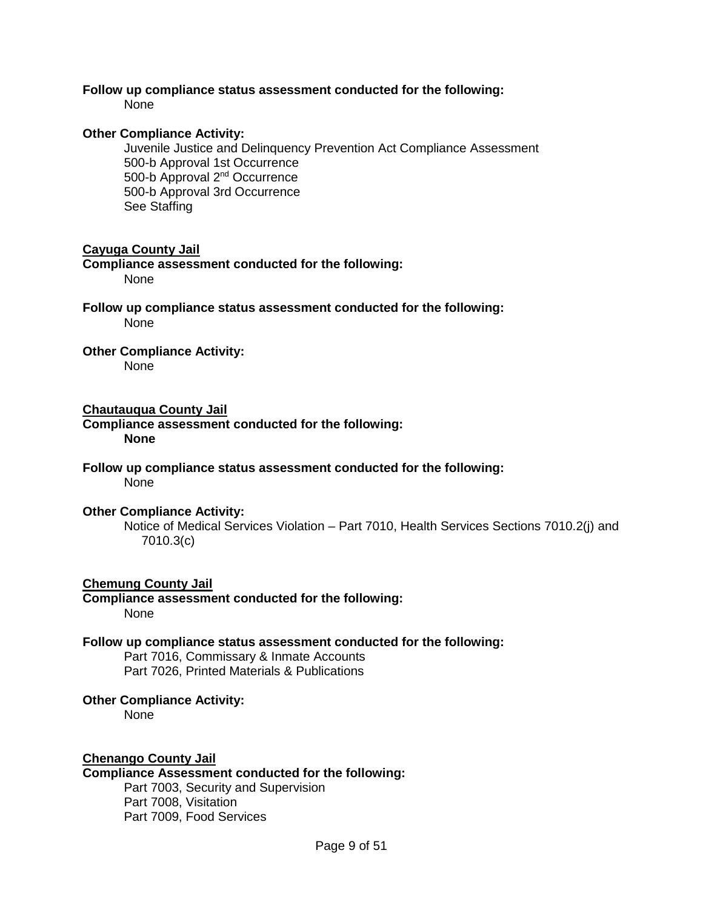# **Follow up compliance status assessment conducted for the following:**

None

# **Other Compliance Activity:**

Juvenile Justice and Delinquency Prevention Act Compliance Assessment 500-b Approval 1st Occurrence 500-b Approval 2nd Occurrence 500-b Approval 3rd Occurrence See Staffing

# **Cayuga County Jail**

**Compliance assessment conducted for the following:** None

**Follow up compliance status assessment conducted for the following:** None

# **Other Compliance Activity:**

None

# **Chautauqua County Jail**

**Compliance assessment conducted for the following: None**

**Follow up compliance status assessment conducted for the following:** None

### **Other Compliance Activity:**

Notice of Medical Services Violation – Part 7010, Health Services Sections 7010.2(j) and 7010.3(c)

### **Chemung County Jail**

**Compliance assessment conducted for the following:** None

# **Follow up compliance status assessment conducted for the following:**

Part 7016, Commissary & Inmate Accounts Part 7026, Printed Materials & Publications

### **Other Compliance Activity:**

None

# **Chenango County Jail**

# **Compliance Assessment conducted for the following:**

Part 7003, Security and Supervision Part 7008, Visitation Part 7009, Food Services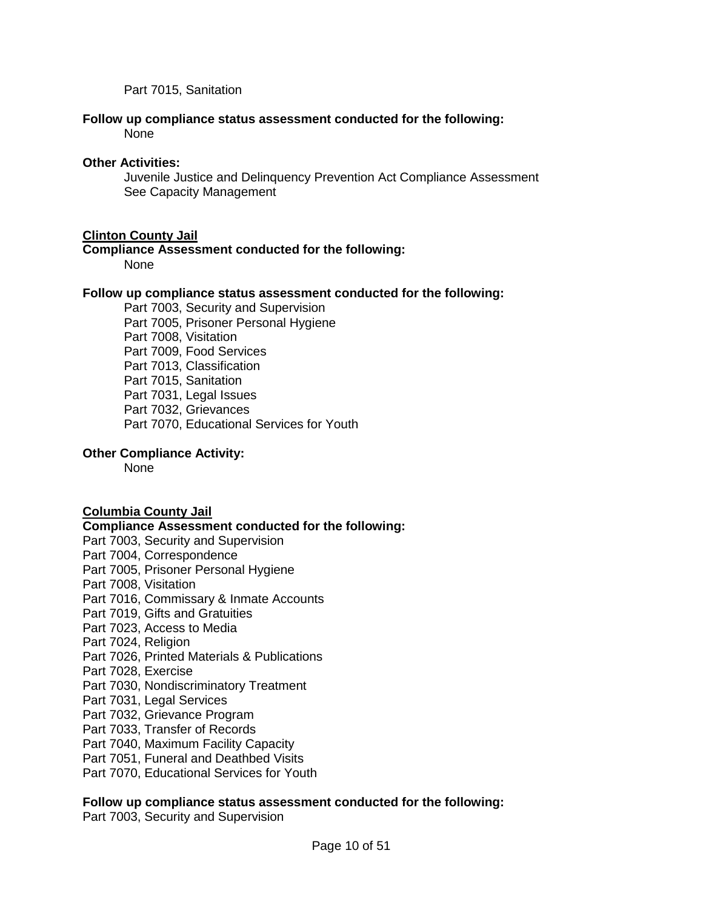Part 7015, Sanitation

### **Follow up compliance status assessment conducted for the following:** None

# **Other Activities:**

Juvenile Justice and Delinquency Prevention Act Compliance Assessment See Capacity Management

# **Clinton County Jail**

# **Compliance Assessment conducted for the following:**

None

# **Follow up compliance status assessment conducted for the following:**

Part 7003, Security and Supervision Part 7005, Prisoner Personal Hygiene Part 7008, Visitation Part 7009, Food Services Part 7013, Classification Part 7015, Sanitation Part 7031, Legal Issues Part 7032, Grievances Part 7070, Educational Services for Youth

# **Other Compliance Activity:**

None

# **Columbia County Jail**

### **Compliance Assessment conducted for the following:**

- Part 7003, Security and Supervision
- Part 7004, Correspondence
- Part 7005, Prisoner Personal Hygiene
- Part 7008, Visitation
- Part 7016, Commissary & Inmate Accounts
- Part 7019, Gifts and Gratuities
- Part 7023, Access to Media
- Part 7024, Religion
- Part 7026, Printed Materials & Publications
- Part 7028, Exercise
- Part 7030, Nondiscriminatory Treatment
- Part 7031, Legal Services
- Part 7032, Grievance Program
- Part 7033, Transfer of Records
- Part 7040, Maximum Facility Capacity
- Part 7051, Funeral and Deathbed Visits
- Part 7070, Educational Services for Youth

# **Follow up compliance status assessment conducted for the following:**

Part 7003, Security and Supervision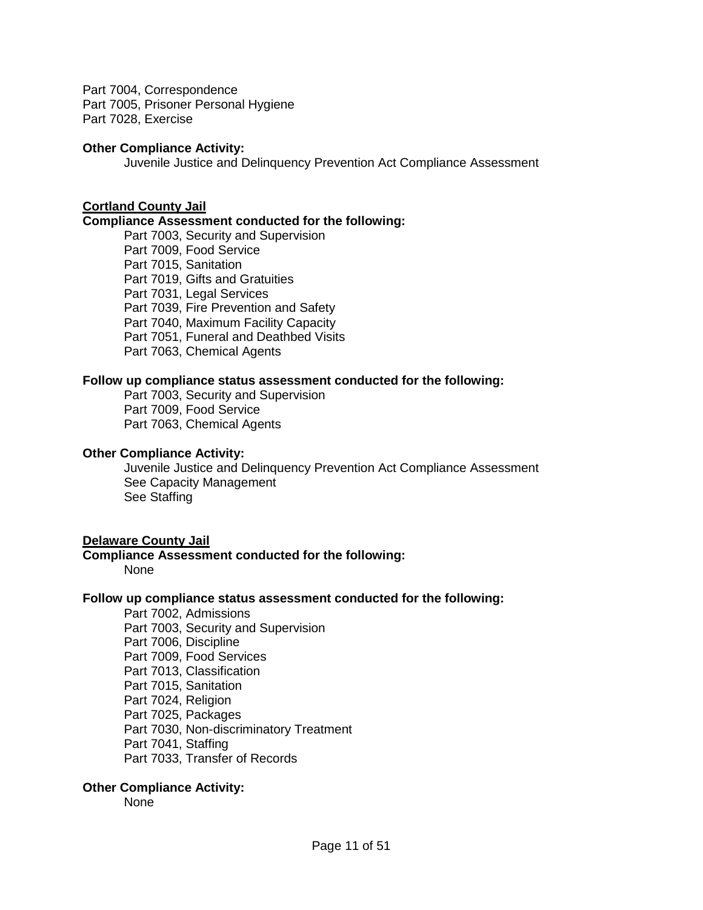Part 7004, Correspondence Part 7005, Prisoner Personal Hygiene Part 7028, Exercise

### **Other Compliance Activity:**

Juvenile Justice and Delinquency Prevention Act Compliance Assessment

# **Cortland County Jail**

### **Compliance Assessment conducted for the following:**

Part 7003, Security and Supervision Part 7009, Food Service Part 7015, Sanitation Part 7019, Gifts and Gratuities Part 7031, Legal Services Part 7039, Fire Prevention and Safety Part 7040, Maximum Facility Capacity Part 7051, Funeral and Deathbed Visits Part 7063, Chemical Agents

### **Follow up compliance status assessment conducted for the following:**

Part 7003, Security and Supervision Part 7009, Food Service Part 7063, Chemical Agents

#### **Other Compliance Activity:**

Juvenile Justice and Delinquency Prevention Act Compliance Assessment See Capacity Management See Staffing

### **Delaware County Jail**

# **Compliance Assessment conducted for the following:**

None

### **Follow up compliance status assessment conducted for the following:**

Part 7002, Admissions Part 7003, Security and Supervision Part 7006, Discipline Part 7009, Food Services Part 7013, Classification Part 7015, Sanitation Part 7024, Religion Part 7025, Packages Part 7030, Non-discriminatory Treatment Part 7041, Staffing Part 7033, Transfer of Records

### **Other Compliance Activity:**

None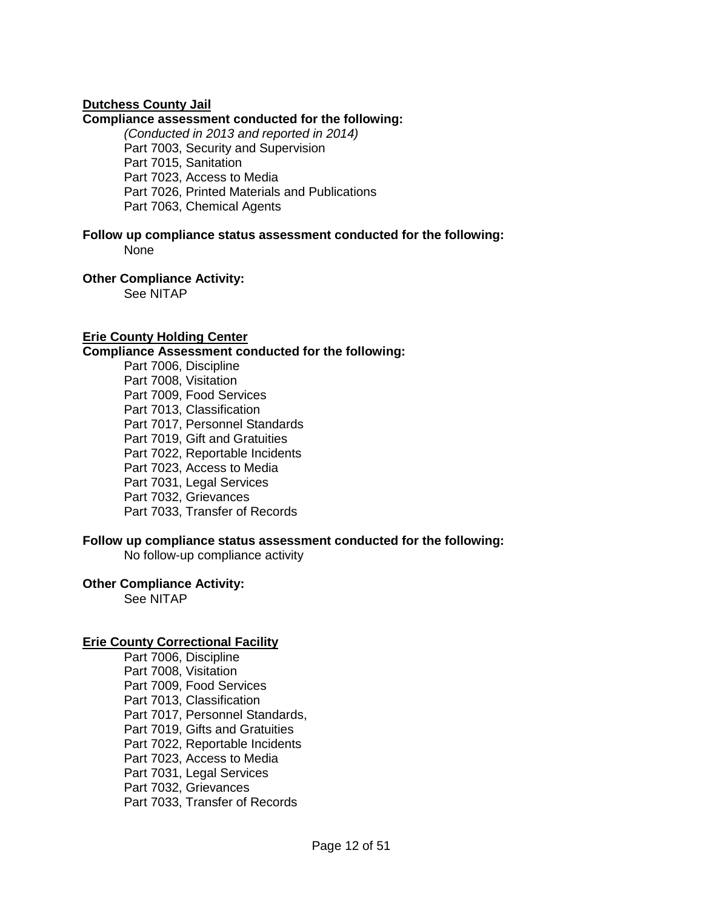# **Dutchess County Jail**

### **Compliance assessment conducted for the following:**

*(Conducted in 2013 and reported in 2014)* Part 7003, Security and Supervision Part 7015, Sanitation Part 7023, Access to Media Part 7026, Printed Materials and Publications Part 7063, Chemical Agents

**Follow up compliance status assessment conducted for the following:** None

**Other Compliance Activity:**  See NITAP

# **Erie County Holding Center**

#### **Compliance Assessment conducted for the following:**

Part 7006, Discipline Part 7008, Visitation Part 7009, Food Services Part 7013, Classification Part 7017, Personnel Standards Part 7019, Gift and Gratuities Part 7022, Reportable Incidents Part 7023, Access to Media Part 7031, Legal Services Part 7032, Grievances Part 7033, Transfer of Records

### **Follow up compliance status assessment conducted for the following:**

No follow-up compliance activity

## **Other Compliance Activity:**

See NITAP

### **Erie County Correctional Facility**

Part 7006, Discipline Part 7008, Visitation Part 7009, Food Services Part 7013, Classification Part 7017, Personnel Standards, Part 7019, Gifts and Gratuities Part 7022, Reportable Incidents Part 7023, Access to Media Part 7031, Legal Services Part 7032, Grievances Part 7033, Transfer of Records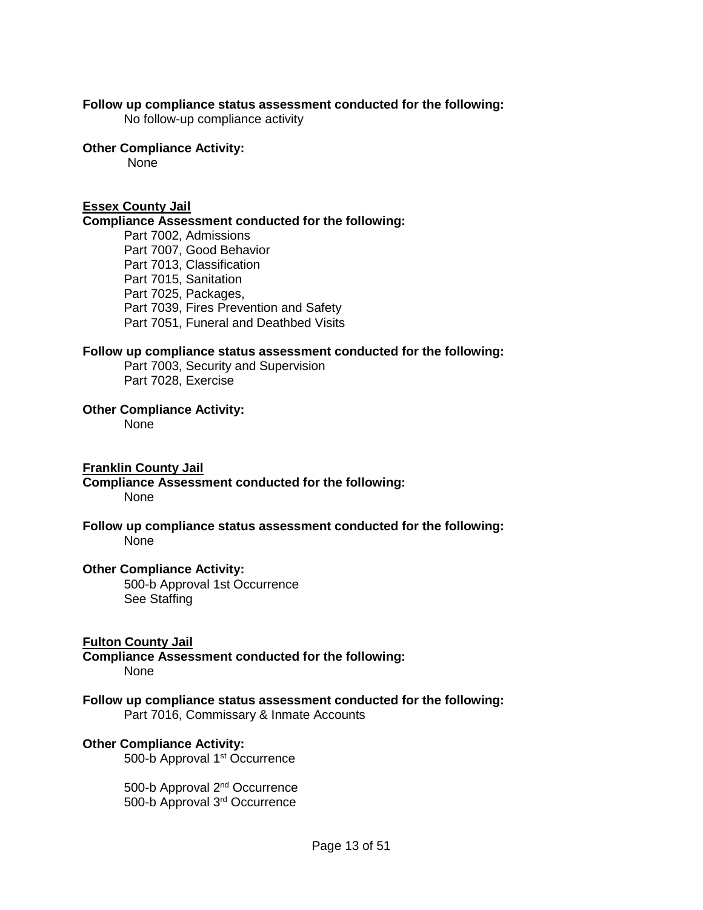### **Follow up compliance status assessment conducted for the following:**

No follow-up compliance activity

# **Other Compliance Activity:**

None

# **Essex County Jail**

### **Compliance Assessment conducted for the following:**

Part 7002, Admissions Part 7007, Good Behavior Part 7013, Classification Part 7015, Sanitation Part 7025, Packages, Part 7039, Fires Prevention and Safety Part 7051, Funeral and Deathbed Visits

### **Follow up compliance status assessment conducted for the following:**

Part 7003, Security and Supervision Part 7028, Exercise

#### **Other Compliance Activity:**

None

### **Franklin County Jail**

#### **Compliance Assessment conducted for the following:** None

### **Follow up compliance status assessment conducted for the following:** None

### **Other Compliance Activity:**

500-b Approval 1st Occurrence See Staffing

### **Fulton County Jail**

**Compliance Assessment conducted for the following:**  None

# **Follow up compliance status assessment conducted for the following:**

Part 7016, Commissary & Inmate Accounts

### **Other Compliance Activity:**

500-b Approval 1<sup>st</sup> Occurrence

500-b Approval 2nd Occurrence 500-b Approval 3rd Occurrence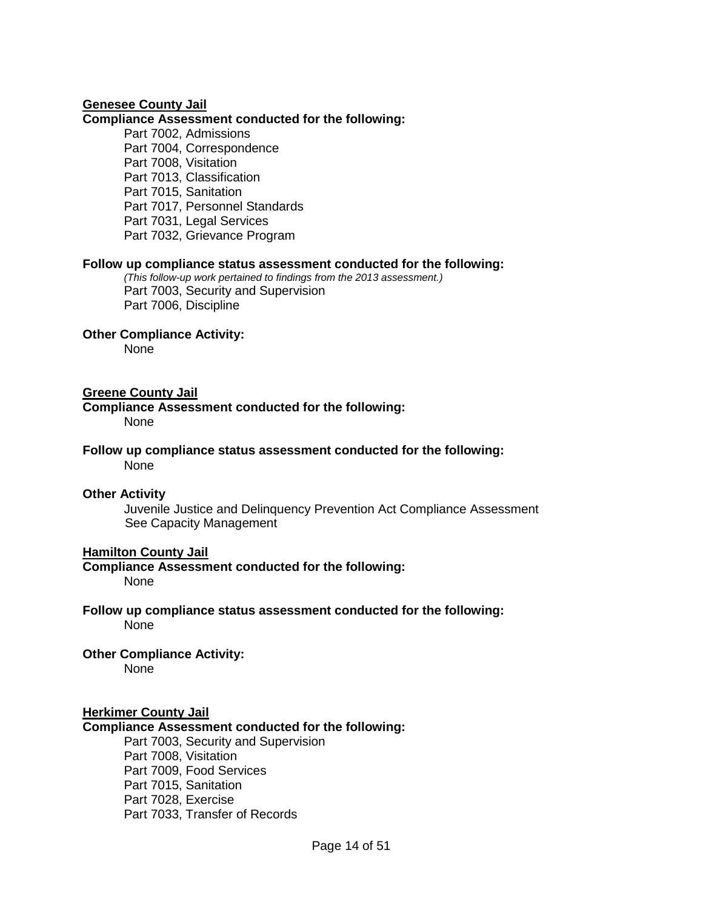### **Genesee County Jail**

#### **Compliance Assessment conducted for the following:**

Part 7002, Admissions Part 7004, Correspondence Part 7008, Visitation Part 7013, Classification Part 7015, Sanitation Part 7017, Personnel Standards Part 7031, Legal Services Part 7032, Grievance Program

### **Follow up compliance status assessment conducted for the following:**

*(This follow-up work pertained to findings from the 2013 assessment.)* Part 7003, Security and Supervision Part 7006, Discipline

#### **Other Compliance Activity:**

None

#### **Greene County Jail**

**Compliance Assessment conducted for the following:** None

**Follow up compliance status assessment conducted for the following:** None

#### **Other Activity**

Juvenile Justice and Delinquency Prevention Act Compliance Assessment See Capacity Management

### **Hamilton County Jail**

**Compliance Assessment conducted for the following:**  None

**Follow up compliance status assessment conducted for the following:** None

### **Other Compliance Activity:**

None

#### **Herkimer County Jail**

### **Compliance Assessment conducted for the following:**

Part 7003, Security and Supervision Part 7008, Visitation Part 7009, Food Services Part 7015, Sanitation Part 7028, Exercise Part 7033, Transfer of Records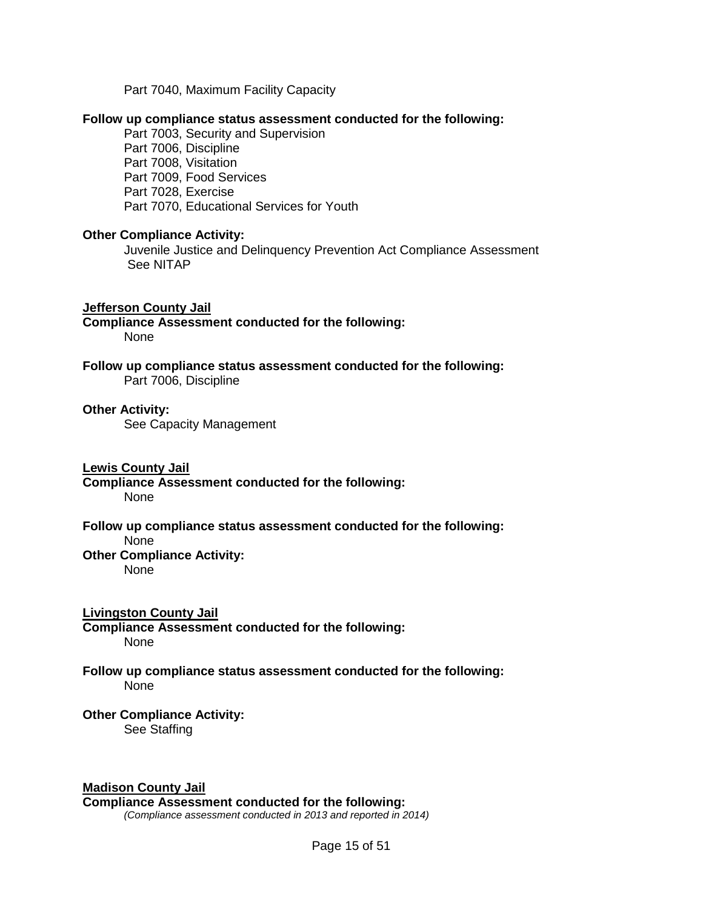Part 7040, Maximum Facility Capacity

### **Follow up compliance status assessment conducted for the following:**

Part 7003, Security and Supervision Part 7006, Discipline Part 7008, Visitation Part 7009, Food Services Part 7028, Exercise Part 7070, Educational Services for Youth

#### **Other Compliance Activity:**

Juvenile Justice and Delinquency Prevention Act Compliance Assessment See NITAP

#### **Jefferson County Jail**

**Compliance Assessment conducted for the following:**  None

**Follow up compliance status assessment conducted for the following:** Part 7006, Discipline

#### **Other Activity:**

See Capacity Management

#### **Lewis County Jail**

**Compliance Assessment conducted for the following:** None

#### **Follow up compliance status assessment conducted for the following:** None

# **Other Compliance Activity:**

None

### **Livingston County Jail**

**Compliance Assessment conducted for the following:**  None

#### **Follow up compliance status assessment conducted for the following:** None

#### **Other Compliance Activity:**  See Staffing

### **Madison County Jail**

#### **Compliance Assessment conducted for the following:**

*(Compliance assessment conducted in 2013 and reported in 2014)*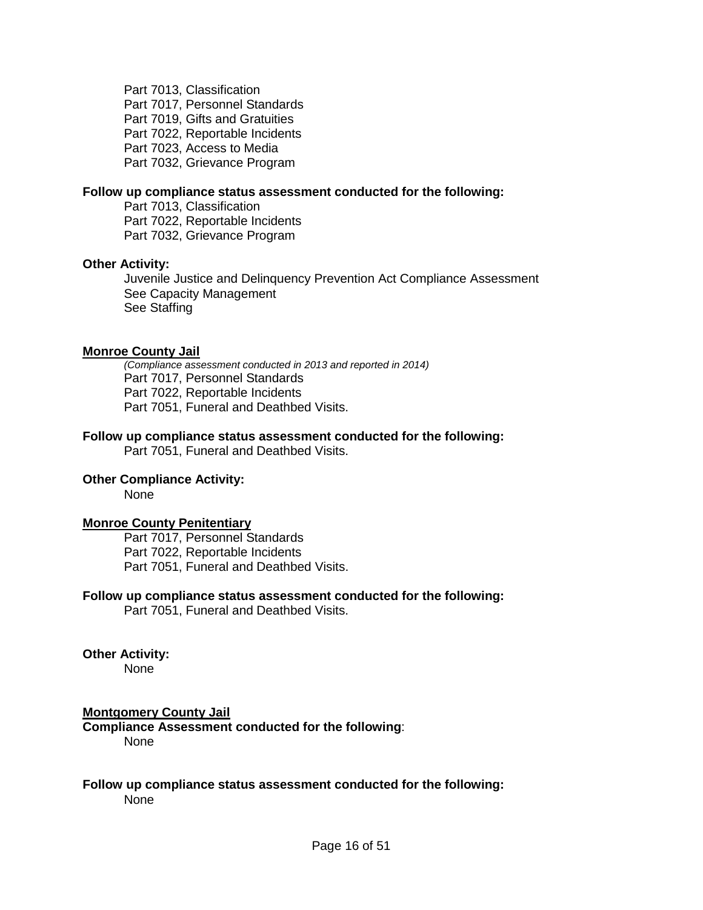Part 7013, Classification Part 7017, Personnel Standards Part 7019, Gifts and Gratuities Part 7022, Reportable Incidents Part 7023, Access to Media Part 7032, Grievance Program

### **Follow up compliance status assessment conducted for the following:**

Part 7013, Classification Part 7022, Reportable Incidents Part 7032, Grievance Program

#### **Other Activity:**

Juvenile Justice and Delinquency Prevention Act Compliance Assessment See Capacity Management See Staffing

#### **Monroe County Jail**

*(Compliance assessment conducted in 2013 and reported in 2014)* Part 7017, Personnel Standards Part 7022, Reportable Incidents Part 7051, Funeral and Deathbed Visits.

### **Follow up compliance status assessment conducted for the following:**

Part 7051, Funeral and Deathbed Visits.

# **Other Compliance Activity:**

None

#### **Monroe County Penitentiary**

Part 7017, Personnel Standards Part 7022, Reportable Incidents Part 7051, Funeral and Deathbed Visits.

### **Follow up compliance status assessment conducted for the following:**

Part 7051, Funeral and Deathbed Visits.

## **Other Activity:**

None

### **Montgomery County Jail**

**Compliance Assessment conducted for the following**: None

#### **Follow up compliance status assessment conducted for the following:** None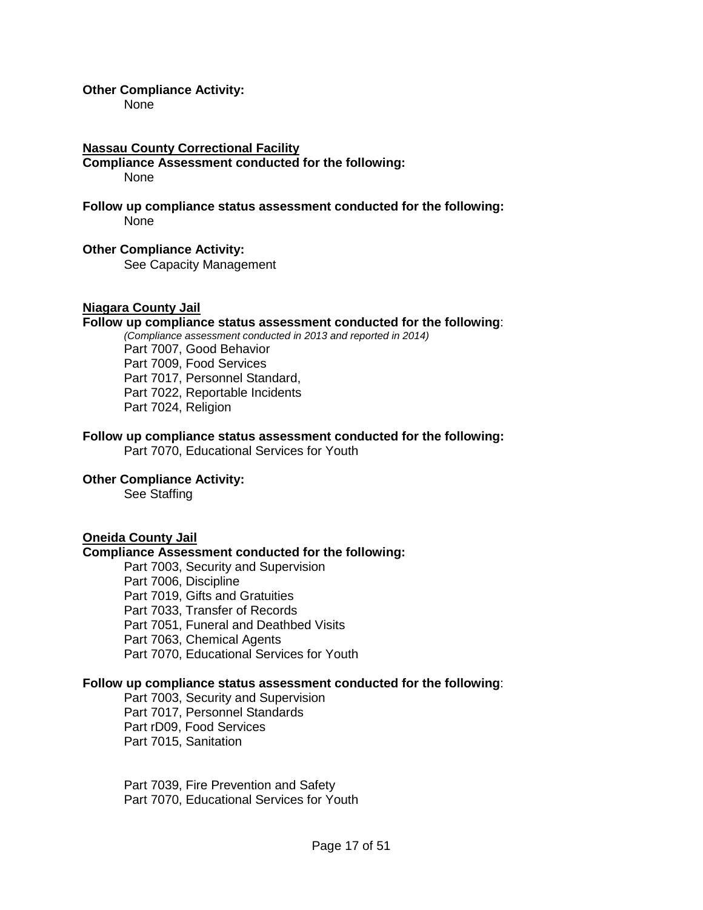### **Other Compliance Activity:**

None

### **Nassau County Correctional Facility**

#### **Compliance Assessment conducted for the following:**  None

### **Follow up compliance status assessment conducted for the following:** None

### **Other Compliance Activity:**

See Capacity Management

### **Niagara County Jail**

# **Follow up compliance status assessment conducted for the following**:

*(Compliance assessment conducted in 2013 and reported in 2014)* Part 7007, Good Behavior Part 7009, Food Services Part 7017, Personnel Standard, Part 7022, Reportable Incidents Part 7024, Religion

# **Follow up compliance status assessment conducted for the following:**

Part 7070, Educational Services for Youth

# **Other Compliance Activity:**

See Staffing

### **Oneida County Jail**

### **Compliance Assessment conducted for the following:**

Part 7003, Security and Supervision Part 7006, Discipline Part 7019, Gifts and Gratuities Part 7033, Transfer of Records Part 7051, Funeral and Deathbed Visits Part 7063, Chemical Agents Part 7070, Educational Services for Youth

## **Follow up compliance status assessment conducted for the following**:

Part 7003, Security and Supervision Part 7017, Personnel Standards Part rD09, Food Services Part 7015, Sanitation

Part 7039, Fire Prevention and Safety Part 7070, Educational Services for Youth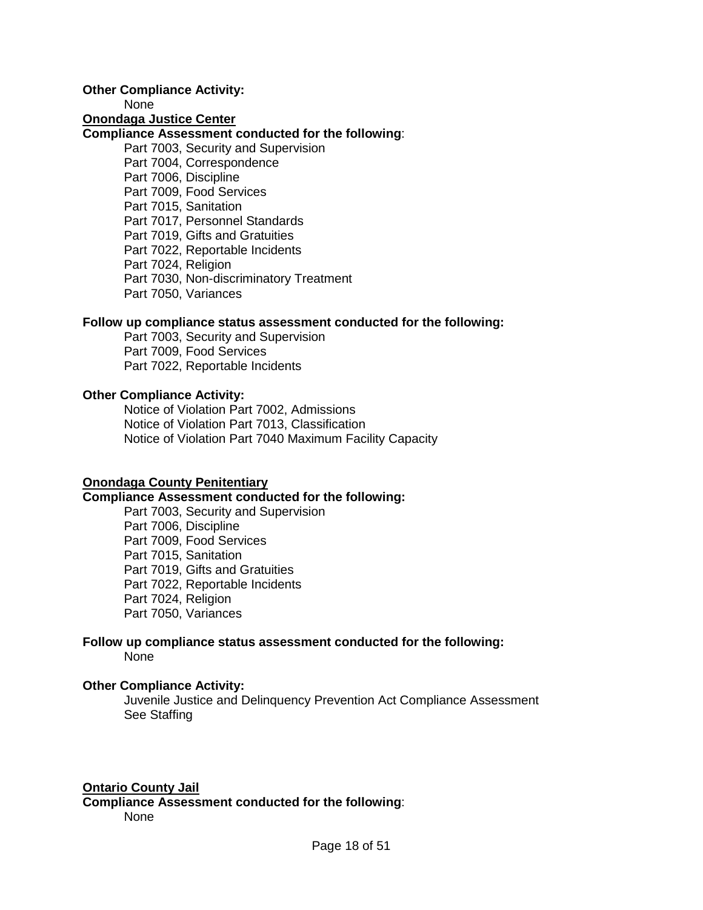### **Other Compliance Activity:**

None

### **Onondaga Justice Center**

# **Compliance Assessment conducted for the following**:

Part 7003, Security and Supervision Part 7004, Correspondence Part 7006, Discipline Part 7009, Food Services Part 7015, Sanitation Part 7017, Personnel Standards Part 7019, Gifts and Gratuities Part 7022, Reportable Incidents Part 7024, Religion Part 7030, Non-discriminatory Treatment Part 7050, Variances

### **Follow up compliance status assessment conducted for the following:**

Part 7003, Security and Supervision Part 7009, Food Services Part 7022, Reportable Incidents

# **Other Compliance Activity:**

Notice of Violation Part 7002, Admissions Notice of Violation Part 7013, Classification Notice of Violation Part 7040 Maximum Facility Capacity

### **Onondaga County Penitentiary**

# **Compliance Assessment conducted for the following:**

Part 7003, Security and Supervision Part 7006, Discipline Part 7009, Food Services Part 7015, Sanitation Part 7019, Gifts and Gratuities Part 7022, Reportable Incidents Part 7024, Religion Part 7050, Variances

# **Follow up compliance status assessment conducted for the following:** None

### **Other Compliance Activity:**

Juvenile Justice and Delinquency Prevention Act Compliance Assessment See Staffing

### **Ontario County Jail**

**Compliance Assessment conducted for the following**: None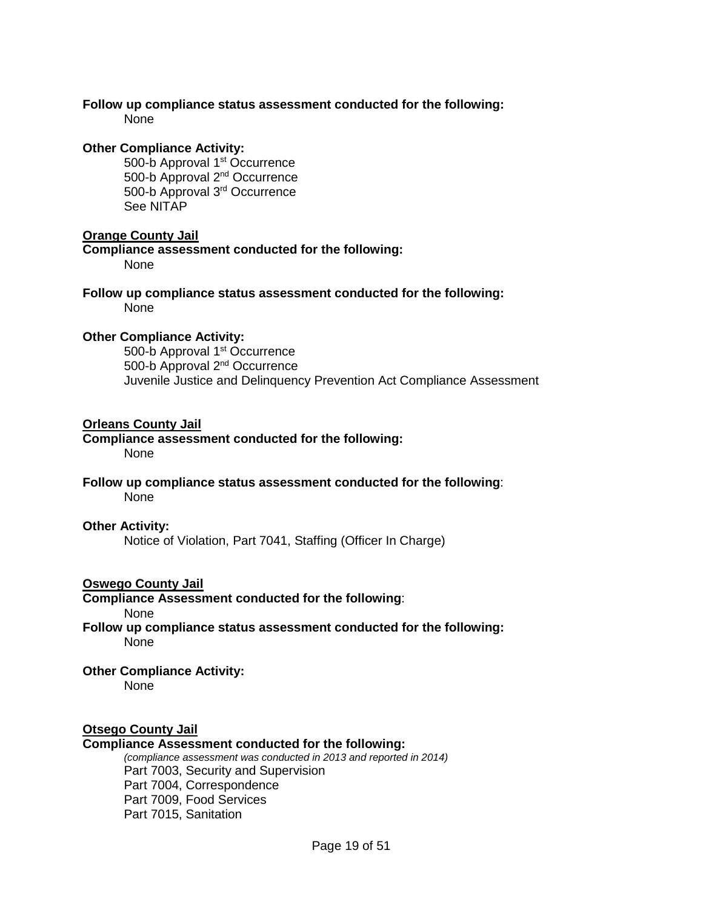# **Follow up compliance status assessment conducted for the following:**

None

# **Other Compliance Activity:**

500-b Approval 1<sup>st</sup> Occurrence 500-b Approval 2nd Occurrence 500-b Approval 3rd Occurrence See NITAP

# **Orange County Jail**

**Compliance assessment conducted for the following:**  None

**Follow up compliance status assessment conducted for the following:** None

# **Other Compliance Activity:**

500-b Approval 1<sup>st</sup> Occurrence 500-b Approval 2nd Occurrence Juvenile Justice and Delinquency Prevention Act Compliance Assessment

# **Orleans County Jail**

### **Compliance assessment conducted for the following:**  None

### **Follow up compliance status assessment conducted for the following**: None

## **Other Activity:**

Notice of Violation, Part 7041, Staffing (Officer In Charge)

# **Oswego County Jail**

# **Compliance Assessment conducted for the following**:

None

**Follow up compliance status assessment conducted for the following:** None

# **Other Compliance Activity:**

None

# **Otsego County Jail**

### **Compliance Assessment conducted for the following:**

*(compliance assessment was conducted in 2013 and reported in 2014)*  Part 7003, Security and Supervision Part 7004, Correspondence Part 7009, Food Services Part 7015, Sanitation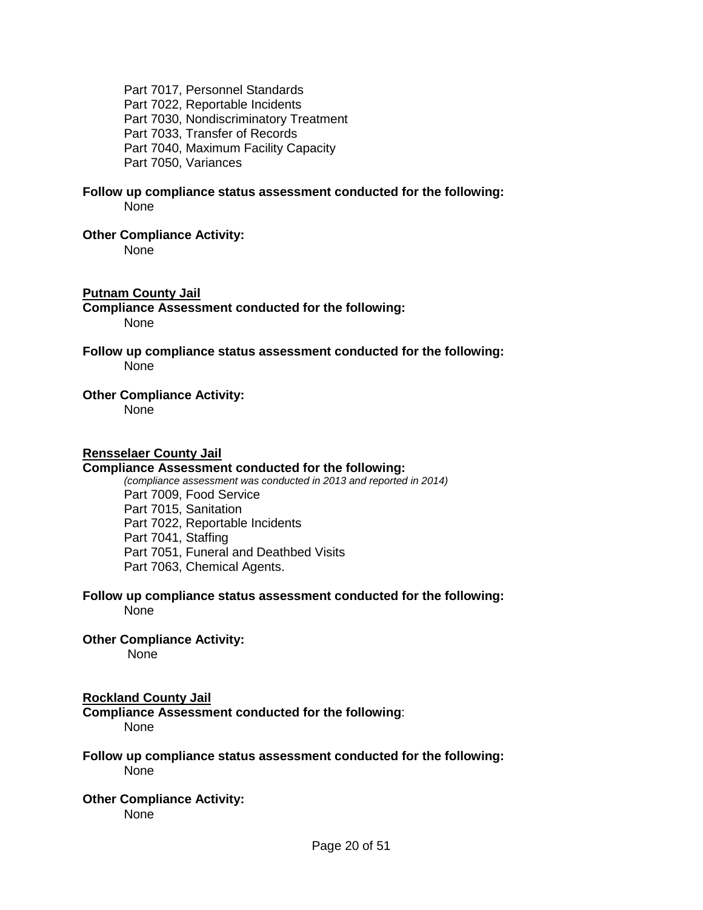Part 7017, Personnel Standards Part 7022, Reportable Incidents Part 7030, Nondiscriminatory Treatment Part 7033, Transfer of Records Part 7040, Maximum Facility Capacity Part 7050, Variances

#### **Follow up compliance status assessment conducted for the following:** None

#### **Other Compliance Activity:**

None

## **Putnam County Jail**

**Compliance Assessment conducted for the following:** None

**Follow up compliance status assessment conducted for the following:** None

### **Other Compliance Activity:**

None

#### **Rensselaer County Jail**

### **Compliance Assessment conducted for the following:**

*(compliance assessment was conducted in 2013 and reported in 2014)*  Part 7009, Food Service Part 7015, Sanitation Part 7022, Reportable Incidents Part 7041, Staffing Part 7051, Funeral and Deathbed Visits Part 7063, Chemical Agents.

#### **Follow up compliance status assessment conducted for the following:** None

#### **Other Compliance Activity:**  None

## **Rockland County Jail**

**Compliance Assessment conducted for the following**: None

### **Follow up compliance status assessment conducted for the following:** None

# **Other Compliance Activity:**

None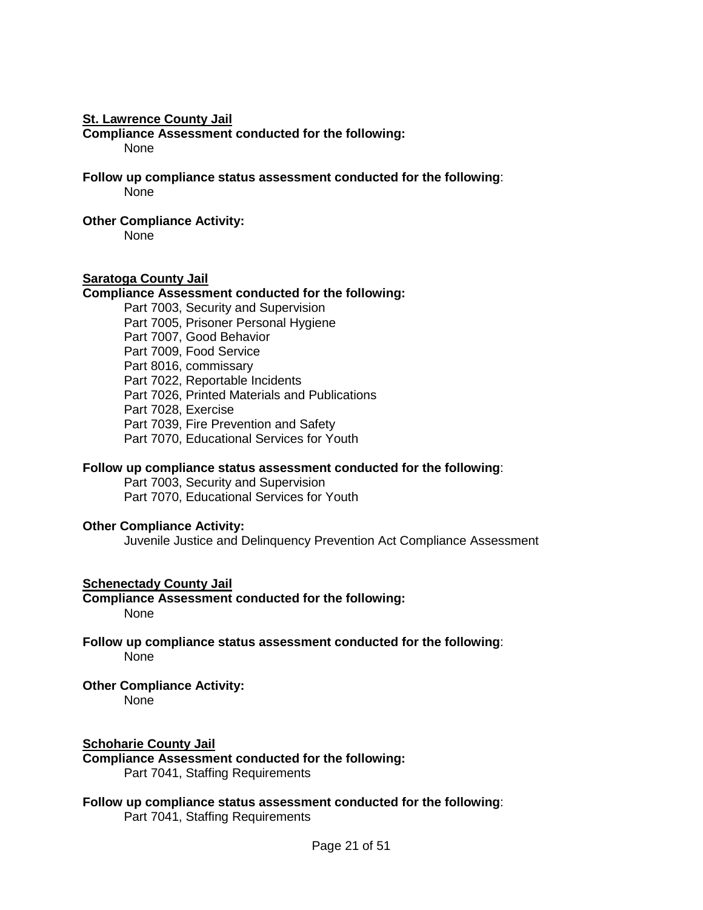#### **St. Lawrence County Jail**

**Compliance Assessment conducted for the following:** None

**Follow up compliance status assessment conducted for the following**:

None

## **Other Compliance Activity:**

None

# **Saratoga County Jail**

# **Compliance Assessment conducted for the following:**

Part 7003, Security and Supervision Part 7005, Prisoner Personal Hygiene Part 7007, Good Behavior Part 7009, Food Service Part 8016, commissary Part 7022, Reportable Incidents Part 7026, Printed Materials and Publications Part 7028, Exercise Part 7039, Fire Prevention and Safety Part 7070, Educational Services for Youth

# **Follow up compliance status assessment conducted for the following**:

Part 7003, Security and Supervision Part 7070, Educational Services for Youth

## **Other Compliance Activity:**

Juvenile Justice and Delinquency Prevention Act Compliance Assessment

# **Schenectady County Jail**

**Compliance Assessment conducted for the following:** None

**Follow up compliance status assessment conducted for the following**: None

# **Other Compliance Activity:**

None

### **Schoharie County Jail**

**Compliance Assessment conducted for the following:** Part 7041, Staffing Requirements

#### **Follow up compliance status assessment conducted for the following**: Part 7041, Staffing Requirements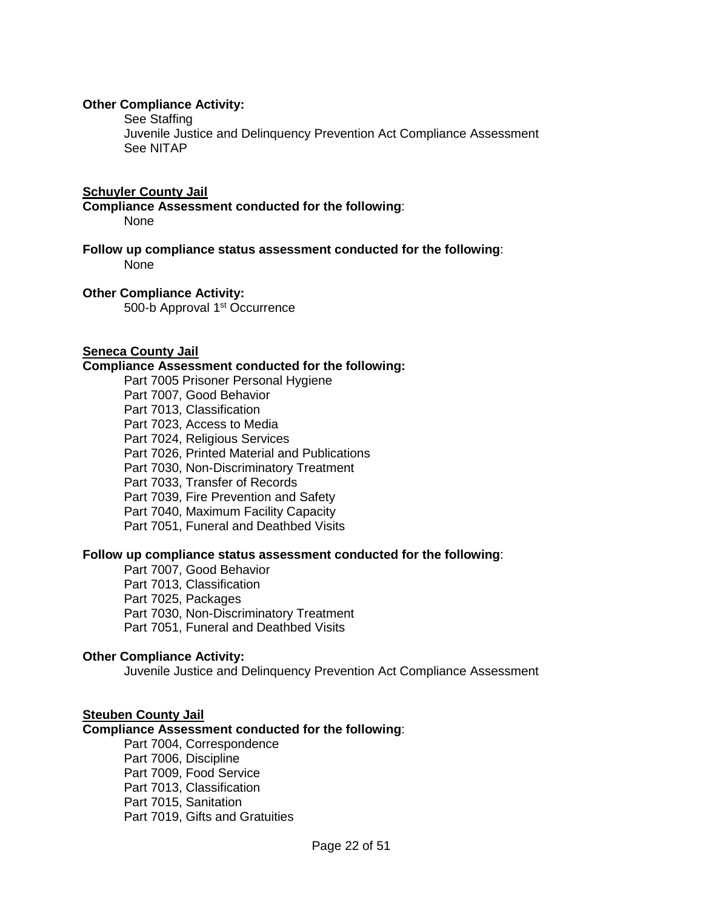### **Other Compliance Activity:**

See Staffing

Juvenile Justice and Delinquency Prevention Act Compliance Assessment See NITAP

#### **Schuyler County Jail**

**Compliance Assessment conducted for the following**: None

**Follow up compliance status assessment conducted for the following**: None

#### **Other Compliance Activity:**

500-b Approval 1<sup>st</sup> Occurrence

### **Seneca County Jail**

### **Compliance Assessment conducted for the following:**

Part 7005 Prisoner Personal Hygiene

Part 7007, Good Behavior

Part 7013, Classification

Part 7023, Access to Media

Part 7024, Religious Services

Part 7026, Printed Material and Publications

Part 7030, Non-Discriminatory Treatment

Part 7033, Transfer of Records

Part 7039, Fire Prevention and Safety

Part 7040, Maximum Facility Capacity

Part 7051, Funeral and Deathbed Visits

#### **Follow up compliance status assessment conducted for the following**:

Part 7007, Good Behavior Part 7013, Classification Part 7025, Packages Part 7030, Non-Discriminatory Treatment Part 7051, Funeral and Deathbed Visits

# **Other Compliance Activity:**

Juvenile Justice and Delinquency Prevention Act Compliance Assessment

### **Steuben County Jail**

# **Compliance Assessment conducted for the following**:

Part 7004, Correspondence Part 7006, Discipline Part 7009, Food Service Part 7013, Classification Part 7015, Sanitation Part 7019, Gifts and Gratuities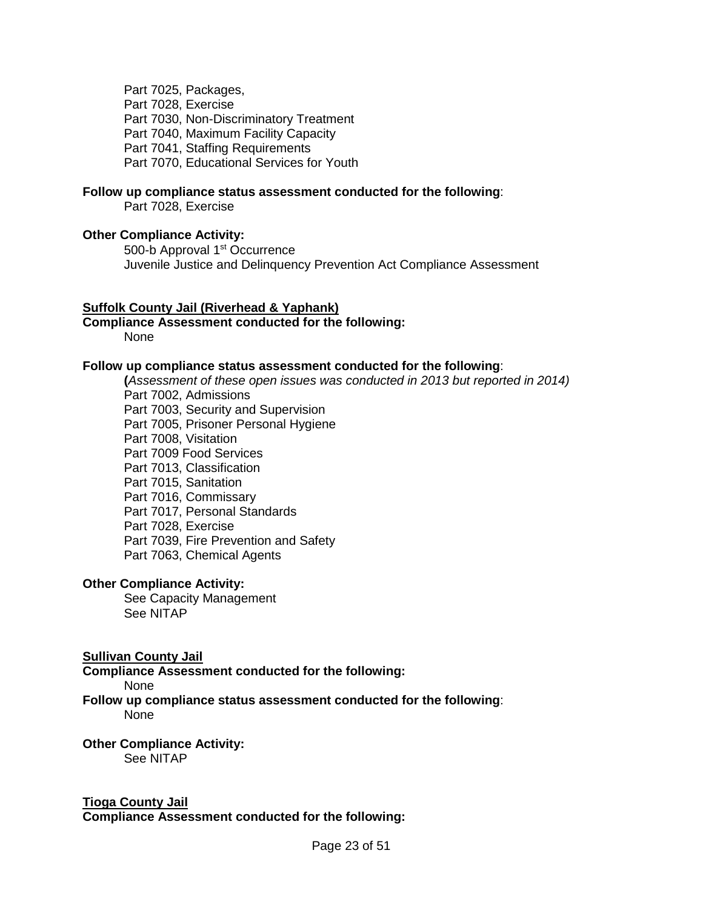Part 7025, Packages, Part 7028, Exercise Part 7030, Non-Discriminatory Treatment Part 7040, Maximum Facility Capacity Part 7041, Staffing Requirements Part 7070, Educational Services for Youth

#### **Follow up compliance status assessment conducted for the following**:

Part 7028, Exercise

### **Other Compliance Activity:**

500-b Approval 1<sup>st</sup> Occurrence Juvenile Justice and Delinquency Prevention Act Compliance Assessment

#### **Suffolk County Jail (Riverhead & Yaphank)**

**Compliance Assessment conducted for the following:**

None

#### **Follow up compliance status assessment conducted for the following**:

**(***Assessment of these open issues was conducted in 2013 but reported in 2014)* Part 7002, Admissions Part 7003, Security and Supervision Part 7005, Prisoner Personal Hygiene Part 7008, Visitation Part 7009 Food Services Part 7013, Classification Part 7015, Sanitation Part 7016, Commissary Part 7017, Personal Standards Part 7028, Exercise Part 7039, Fire Prevention and Safety Part 7063, Chemical Agents

## **Other Compliance Activity:**

See Capacity Management See NITAP

#### **Sullivan County Jail**

**Compliance Assessment conducted for the following:**

None

**Follow up compliance status assessment conducted for the following**: None

**Other Compliance Activity:**  See NITAP

# **Tioga County Jail**

**Compliance Assessment conducted for the following:**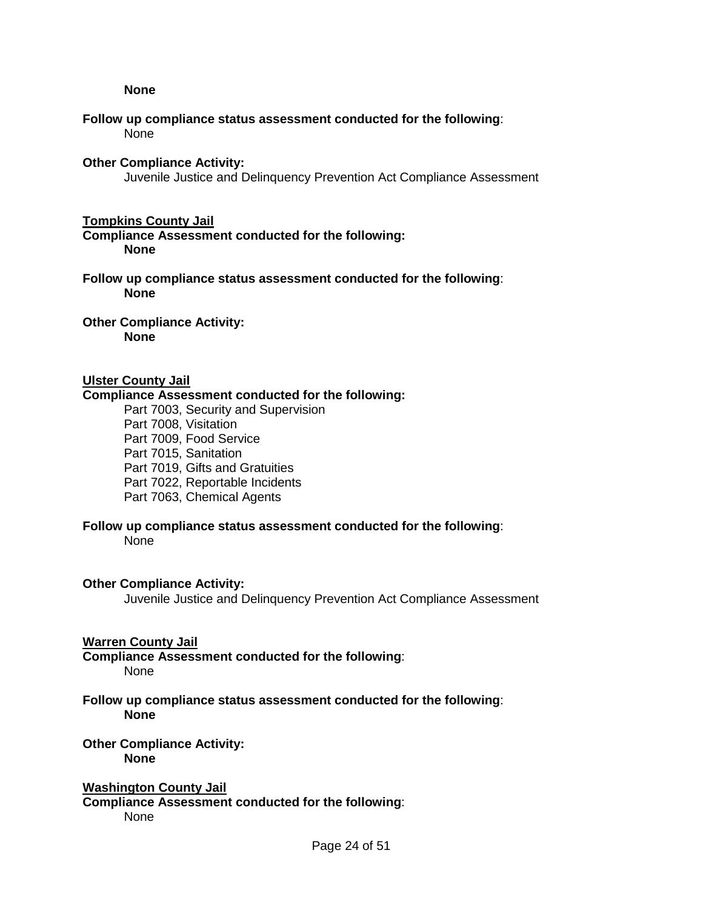#### **None**

### **Follow up compliance status assessment conducted for the following**: None

#### **Other Compliance Activity:**

Juvenile Justice and Delinquency Prevention Act Compliance Assessment

#### **Tompkins County Jail**

**Compliance Assessment conducted for the following: None**

**Follow up compliance status assessment conducted for the following**: **None** 

**Other Compliance Activity: None** 

### **Ulster County Jail**

### **Compliance Assessment conducted for the following:**

Part 7003, Security and Supervision Part 7008, Visitation Part 7009, Food Service Part 7015, Sanitation Part 7019, Gifts and Gratuities Part 7022, Reportable Incidents Part 7063, Chemical Agents

## **Follow up compliance status assessment conducted for the following**:

None

### **Other Compliance Activity:**

Juvenile Justice and Delinquency Prevention Act Compliance Assessment

#### **Warren County Jail**

**Compliance Assessment conducted for the following**: None

### **Follow up compliance status assessment conducted for the following**: **None**

# **Other Compliance Activity:**

**None**

# **Washington County Jail**

**Compliance Assessment conducted for the following**: None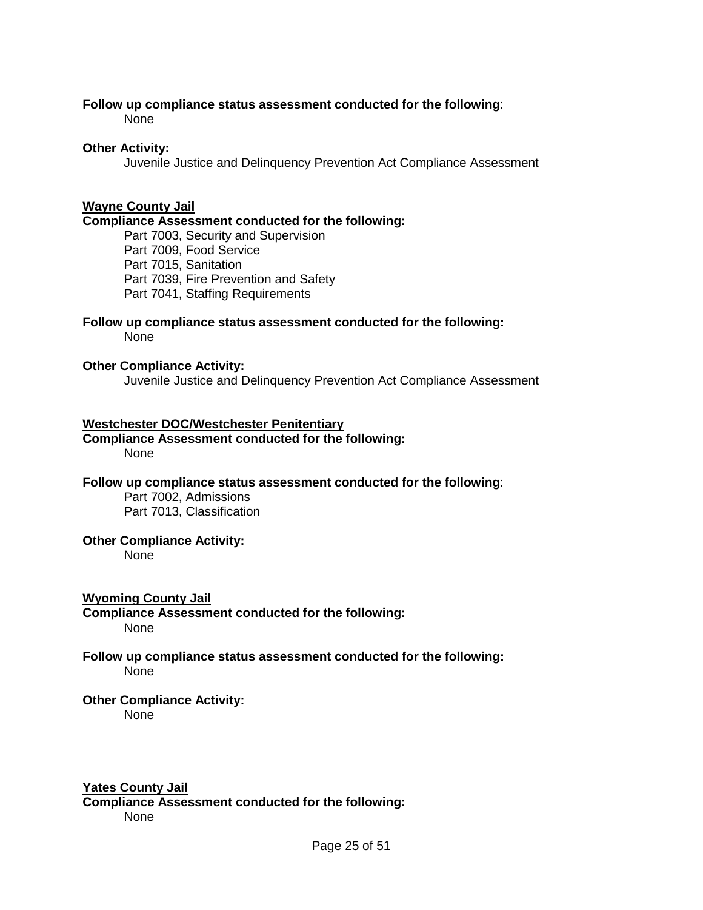#### **Follow up compliance status assessment conducted for the following**: None

# **Other Activity:**

Juvenile Justice and Delinquency Prevention Act Compliance Assessment

# **Wayne County Jail**

### **Compliance Assessment conducted for the following:**

Part 7003, Security and Supervision Part 7009, Food Service Part 7015, Sanitation Part 7039, Fire Prevention and Safety Part 7041, Staffing Requirements

#### **Follow up compliance status assessment conducted for the following:** None

### **Other Compliance Activity:**

Juvenile Justice and Delinquency Prevention Act Compliance Assessment

### **Westchester DOC/Westchester Penitentiary**

### **Compliance Assessment conducted for the following:** None

# **Follow up compliance status assessment conducted for the following**:

Part 7002, Admissions Part 7013, Classification

# **Other Compliance Activity:**

None

### **Wyoming County Jail**

**Compliance Assessment conducted for the following:** None

# **Follow up compliance status assessment conducted for the following:** None

# **Other Compliance Activity:**

None

### **Yates County Jail**

**Compliance Assessment conducted for the following:**  None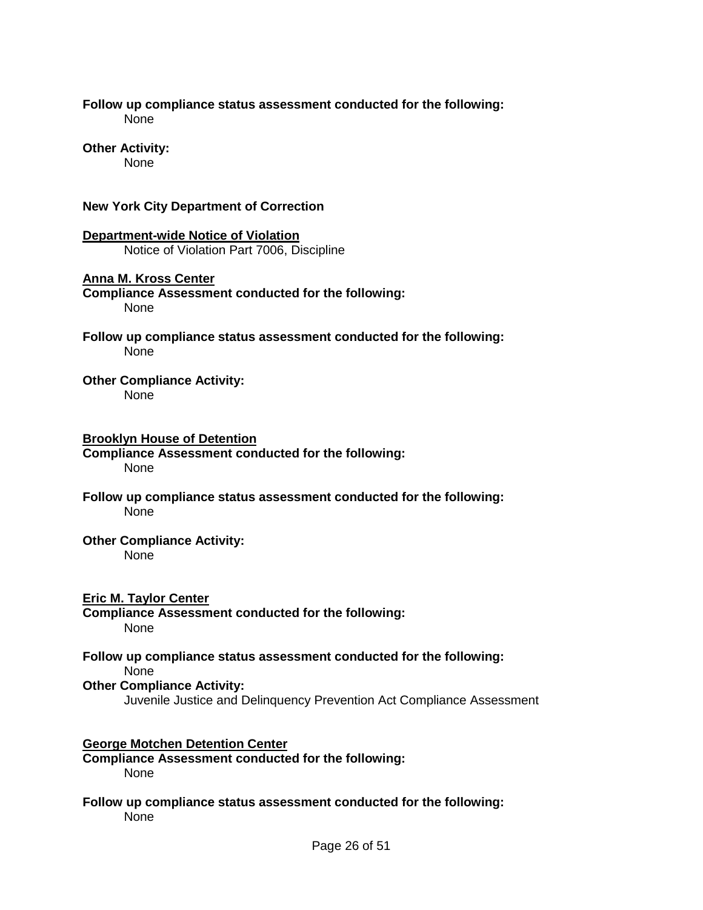### **Follow up compliance status assessment conducted for the following:** None

# **Other Activity:**

None

# **New York City Department of Correction**

**Department-wide Notice of Violation**  Notice of Violation Part 7006, Discipline

# **Anna M. Kross Center**

- **Compliance Assessment conducted for the following:**  None
- **Follow up compliance status assessment conducted for the following:** None

# **Other Compliance Activity:**

None

# **Brooklyn House of Detention**

- **Compliance Assessment conducted for the following:**  None
- **Follow up compliance status assessment conducted for the following:** None

# **Other Compliance Activity:**

None

# **Eric M. Taylor Center**

**Compliance Assessment conducted for the following:**  None

# **Follow up compliance status assessment conducted for the following:**

None

# **Other Compliance Activity:**

Juvenile Justice and Delinquency Prevention Act Compliance Assessment

# **George Motchen Detention Center**

**Compliance Assessment conducted for the following:**  None

# **Follow up compliance status assessment conducted for the following:** None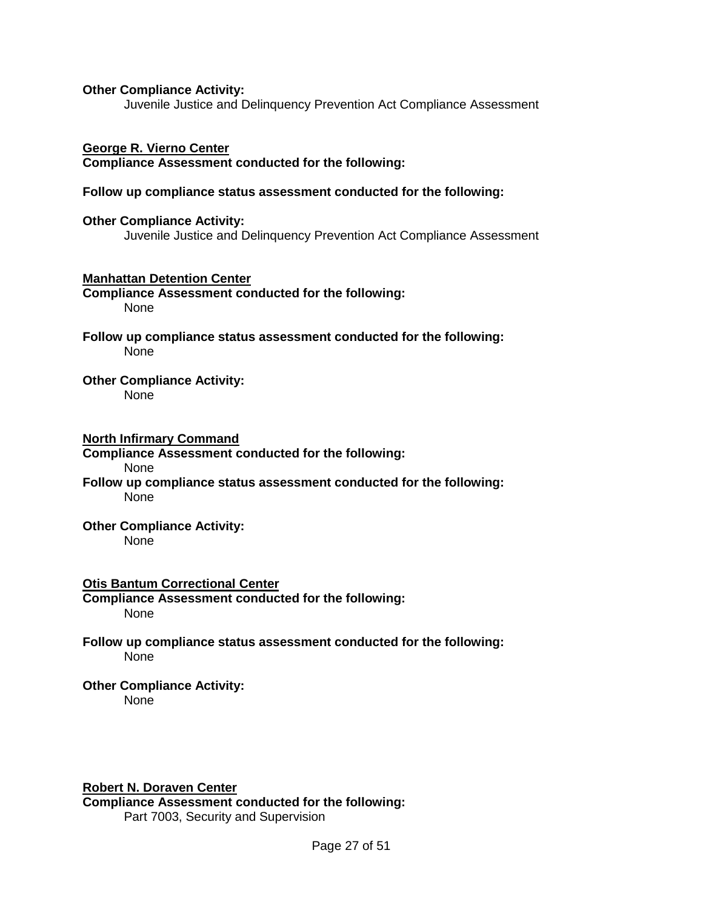### **Other Compliance Activity:**

Juvenile Justice and Delinquency Prevention Act Compliance Assessment

### **George R. Vierno Center**

**Compliance Assessment conducted for the following:** 

### **Follow up compliance status assessment conducted for the following:**

**Other Compliance Activity:**  Juvenile Justice and Delinquency Prevention Act Compliance Assessment

**Manhattan Detention Center Compliance Assessment conducted for the following:**  None

**Follow up compliance status assessment conducted for the following:** None

### **Other Compliance Activity:**

None

### **North Infirmary Command**

**Compliance Assessment conducted for the following:** 

#### None

**Follow up compliance status assessment conducted for the following:** None

#### **Other Compliance Activity:**  None

## **Otis Bantum Correctional Center**

**Compliance Assessment conducted for the following:**  None

**Follow up compliance status assessment conducted for the following:** None

# **Other Compliance Activity:**

None

### **Robert N. Doraven Center**

**Compliance Assessment conducted for the following:**  Part 7003, Security and Supervision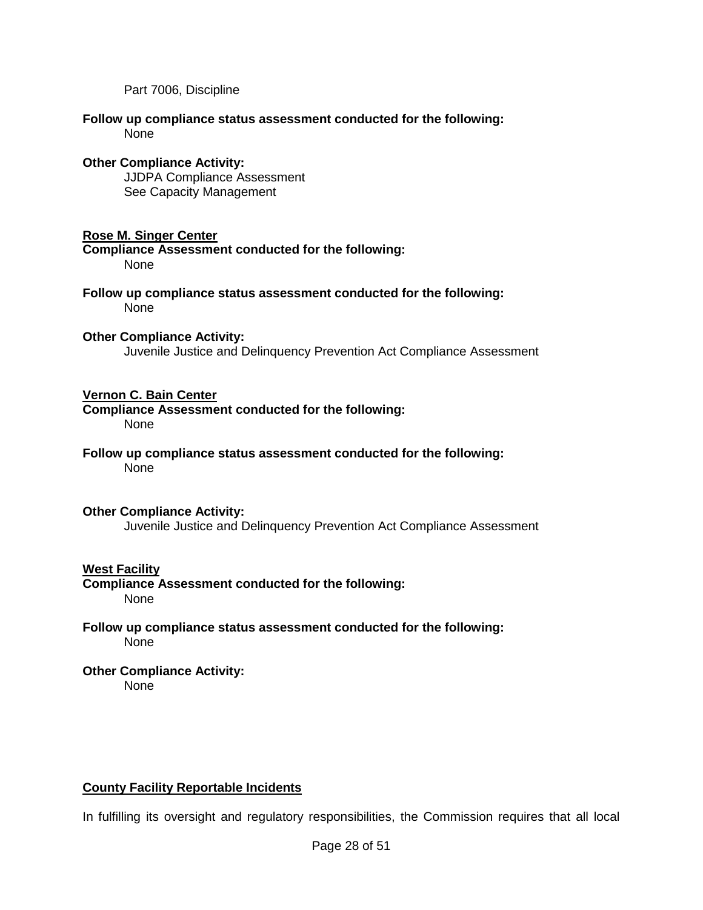Part 7006, Discipline

### **Follow up compliance status assessment conducted for the following:** None

## **Other Compliance Activity:**

JJDPA Compliance Assessment See Capacity Management

# **Rose M. Singer Center**

**Compliance Assessment conducted for the following:** None

**Follow up compliance status assessment conducted for the following:** None

# **Other Compliance Activity:**

Juvenile Justice and Delinquency Prevention Act Compliance Assessment

# **Vernon C. Bain Center**

**Compliance Assessment conducted for the following:** None

**Follow up compliance status assessment conducted for the following:** None

### **Other Compliance Activity:**

Juvenile Justice and Delinquency Prevention Act Compliance Assessment

# **West Facility**

**Compliance Assessment conducted for the following:**  None

### **Follow up compliance status assessment conducted for the following:** None

#### **Other Compliance Activity:**  None

# **County Facility Reportable Incidents**

In fulfilling its oversight and regulatory responsibilities, the Commission requires that all local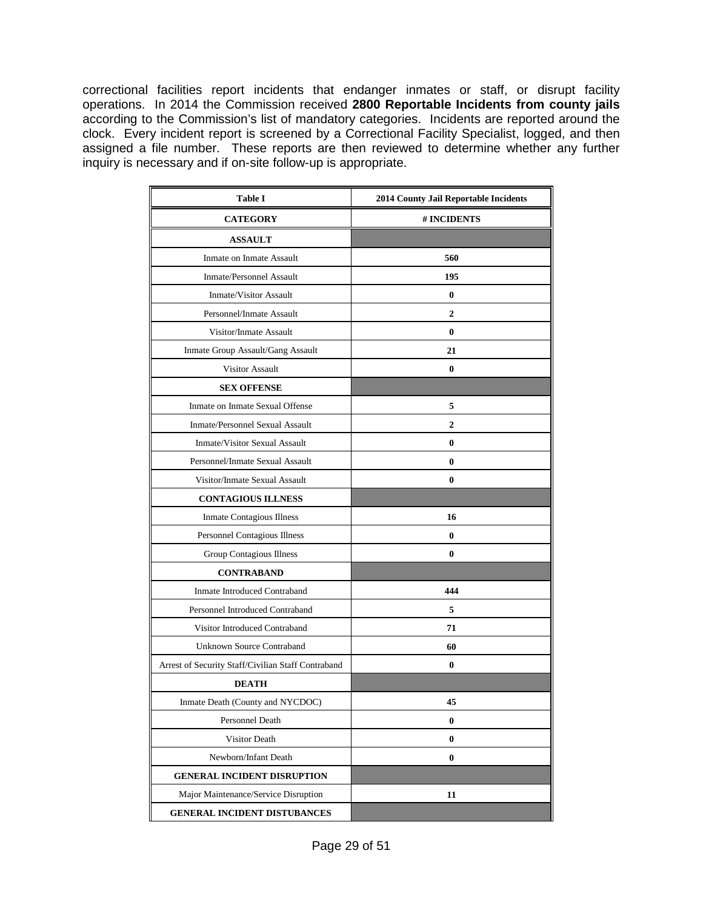correctional facilities report incidents that endanger inmates or staff, or disrupt facility operations. In 2014 the Commission received **2800 Reportable Incidents from county jails** according to the Commission's list of mandatory categories. Incidents are reported around the clock. Every incident report is screened by a Correctional Facility Specialist, logged, and then assigned a file number. These reports are then reviewed to determine whether any further inquiry is necessary and if on-site follow-up is appropriate.

| <b>Table I</b>                                     | 2014 County Jail Reportable Incidents |  |  |  |  |
|----------------------------------------------------|---------------------------------------|--|--|--|--|
| <b>CATEGORY</b>                                    | # INCIDENTS                           |  |  |  |  |
| <b>ASSAULT</b>                                     |                                       |  |  |  |  |
| Inmate on Inmate Assault                           | 560                                   |  |  |  |  |
| Inmate/Personnel Assault                           | 195                                   |  |  |  |  |
| <b>Inmate/Visitor Assault</b>                      | $\bf{0}$                              |  |  |  |  |
| Personnel/Inmate Assault                           | $\overline{2}$                        |  |  |  |  |
| Visitor/Inmate Assault                             | $\bf{0}$                              |  |  |  |  |
| Inmate Group Assault/Gang Assault                  | 21                                    |  |  |  |  |
| <b>Visitor Assault</b>                             | 0                                     |  |  |  |  |
| <b>SEX OFFENSE</b>                                 |                                       |  |  |  |  |
| Inmate on Inmate Sexual Offense                    | 5                                     |  |  |  |  |
| Inmate/Personnel Sexual Assault                    | 2                                     |  |  |  |  |
| Inmate/Visitor Sexual Assault                      | 0                                     |  |  |  |  |
| Personnel/Inmate Sexual Assault                    | 0                                     |  |  |  |  |
| Visitor/Inmate Sexual Assault                      | $\bf{0}$                              |  |  |  |  |
| <b>CONTAGIOUS ILLNESS</b>                          |                                       |  |  |  |  |
| Inmate Contagious Illness                          | 16                                    |  |  |  |  |
| Personnel Contagious Illness                       | 0                                     |  |  |  |  |
| Group Contagious Illness                           | 0                                     |  |  |  |  |
| <b>CONTRABAND</b>                                  |                                       |  |  |  |  |
| Inmate Introduced Contraband                       | 444                                   |  |  |  |  |
| Personnel Introduced Contraband                    | 5                                     |  |  |  |  |
| Visitor Introduced Contraband                      | 71                                    |  |  |  |  |
| <b>Unknown Source Contraband</b>                   | 60                                    |  |  |  |  |
| Arrest of Security Staff/Civilian Staff Contraband | 0                                     |  |  |  |  |
| <b>DEATH</b>                                       |                                       |  |  |  |  |
| Inmate Death (County and NYCDOC)                   | 45                                    |  |  |  |  |
| <b>Personnel Death</b>                             | 0                                     |  |  |  |  |
| Visitor Death                                      | 0                                     |  |  |  |  |
| Newborn/Infant Death                               | 0                                     |  |  |  |  |
| <b>GENERAL INCIDENT DISRUPTION</b>                 |                                       |  |  |  |  |
| Major Maintenance/Service Disruption               | 11                                    |  |  |  |  |
| GENERAL INCIDENT DISTUBANCES                       |                                       |  |  |  |  |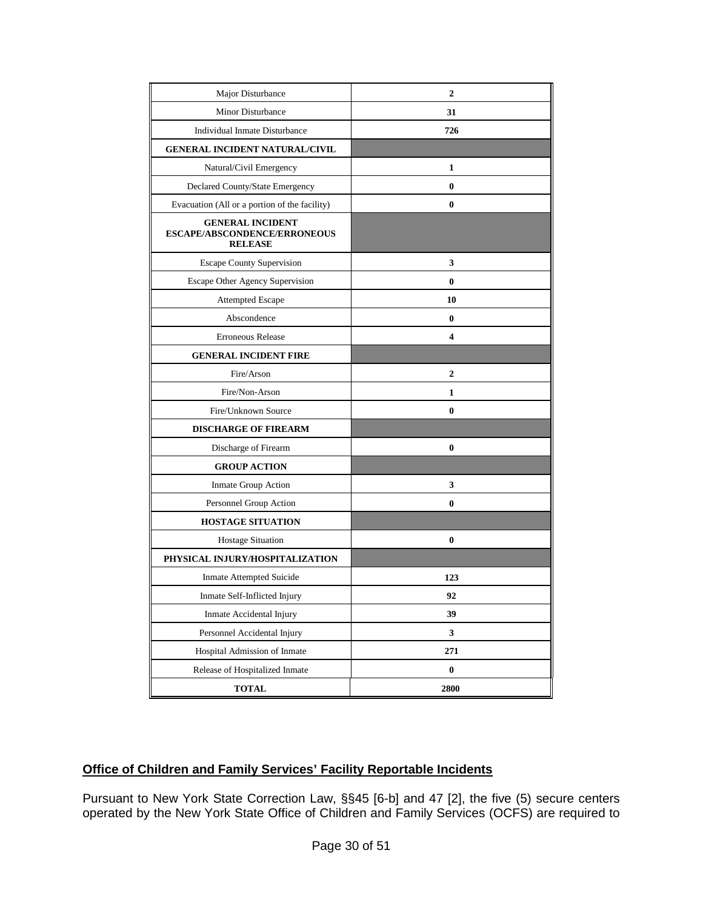| Major Disturbance                                                         | $\overline{2}$ |
|---------------------------------------------------------------------------|----------------|
| Minor Disturbance                                                         | 31             |
| Individual Inmate Disturbance                                             | 726            |
| <b>GENERAL INCIDENT NATURAL/CIVIL</b>                                     |                |
| Natural/Civil Emergency                                                   | 1              |
| Declared County/State Emergency                                           | 0              |
| Evacuation (All or a portion of the facility)                             | 0              |
| <b>GENERAL INCIDENT</b><br>ESCAPE/ABSCONDENCE/ERRONEOUS<br><b>RELEASE</b> |                |
| <b>Escape County Supervision</b>                                          | 3              |
| <b>Escape Other Agency Supervision</b>                                    | 0              |
| <b>Attempted Escape</b>                                                   | 10             |
| Abscondence                                                               | 0              |
| <b>Erroneous Release</b>                                                  | 4              |
| <b>GENERAL INCIDENT FIRE</b>                                              |                |
| Fire/Arson                                                                | 2              |
| Fire/Non-Arson                                                            | 1              |
| Fire/Unknown Source                                                       | 0              |
| <b>DISCHARGE OF FIREARM</b>                                               |                |
| Discharge of Firearm                                                      | 0              |
| <b>GROUP ACTION</b>                                                       |                |
| Inmate Group Action                                                       | 3              |
| Personnel Group Action                                                    | 0              |
| <b>HOSTAGE SITUATION</b>                                                  |                |
| <b>Hostage Situation</b>                                                  | 0              |
| PHYSICAL INJURY/HOSPITALIZATION                                           |                |
| Inmate Attempted Suicide                                                  | 123            |
| Inmate Self-Inflicted Injury                                              | 92             |
| Inmate Accidental Injury                                                  | 39             |
| Personnel Accidental Injury                                               | 3              |
| Hospital Admission of Inmate                                              | 271            |
| Release of Hospitalized Inmate                                            | $\bf{0}$       |
| <b>TOTAL</b>                                                              | 2800           |

# **Office of Children and Family Services' Facility Reportable Incidents**

Pursuant to New York State Correction Law, §§45 [6-b] and 47 [2], the five (5) secure centers operated by the New York State Office of Children and Family Services (OCFS) are required to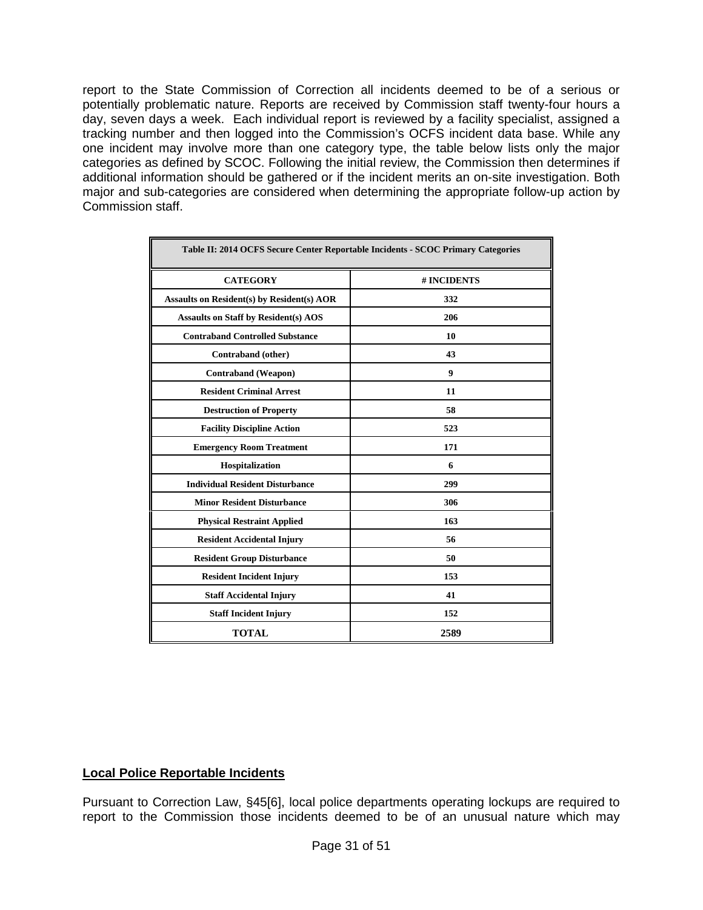report to the State Commission of Correction all incidents deemed to be of a serious or potentially problematic nature. Reports are received by Commission staff twenty-four hours a day, seven days a week. Each individual report is reviewed by a facility specialist, assigned a tracking number and then logged into the Commission's OCFS incident data base. While any one incident may involve more than one category type, the table below lists only the major categories as defined by SCOC. Following the initial review, the Commission then determines if additional information should be gathered or if the incident merits an on-site investigation. Both major and sub-categories are considered when determining the appropriate follow-up action by Commission staff.

| Table II: 2014 OCFS Secure Center Reportable Incidents - SCOC Primary Categories |             |  |  |  |  |
|----------------------------------------------------------------------------------|-------------|--|--|--|--|
| <b>CATEGORY</b>                                                                  | # INCIDENTS |  |  |  |  |
| <b>Assaults on Resident(s) by Resident(s) AOR</b>                                | 332         |  |  |  |  |
| <b>Assaults on Staff by Resident(s) AOS</b>                                      | 206         |  |  |  |  |
| <b>Contraband Controlled Substance</b>                                           | 10          |  |  |  |  |
| Contraband (other)                                                               | 43          |  |  |  |  |
| <b>Contraband</b> (Weapon)                                                       | 9           |  |  |  |  |
| <b>Resident Criminal Arrest</b>                                                  | 11          |  |  |  |  |
| <b>Destruction of Property</b>                                                   | 58          |  |  |  |  |
| <b>Facility Discipline Action</b>                                                | 523         |  |  |  |  |
| <b>Emergency Room Treatment</b>                                                  | 171         |  |  |  |  |
| Hospitalization                                                                  | 6           |  |  |  |  |
| <b>Individual Resident Disturbance</b>                                           | 299         |  |  |  |  |
| <b>Minor Resident Disturbance</b>                                                | 306         |  |  |  |  |
| <b>Physical Restraint Applied</b>                                                | 163         |  |  |  |  |
| <b>Resident Accidental Injury</b>                                                | 56          |  |  |  |  |
| <b>Resident Group Disturbance</b>                                                | 50          |  |  |  |  |
| <b>Resident Incident Injury</b>                                                  | 153         |  |  |  |  |
| <b>Staff Accidental Injury</b>                                                   | 41          |  |  |  |  |
| <b>Staff Incident Injury</b>                                                     | 152         |  |  |  |  |
| <b>TOTAL</b><br>2589                                                             |             |  |  |  |  |

# **Local Police Reportable Incidents**

Pursuant to Correction Law, §45[6], local police departments operating lockups are required to report to the Commission those incidents deemed to be of an unusual nature which may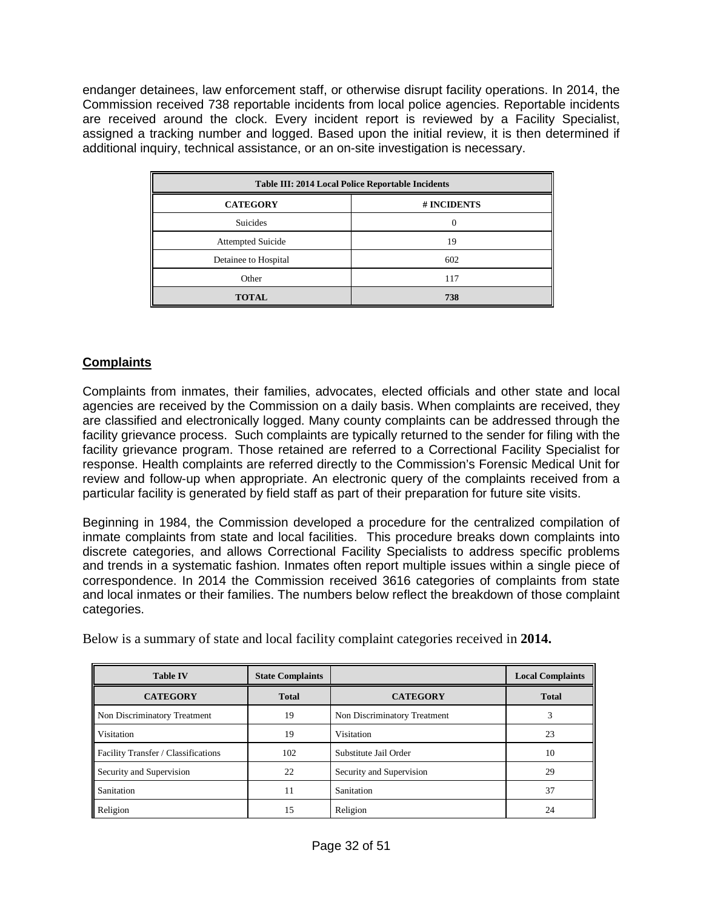endanger detainees, law enforcement staff, or otherwise disrupt facility operations. In 2014, the Commission received 738 reportable incidents from local police agencies. Reportable incidents are received around the clock. Every incident report is reviewed by a Facility Specialist, assigned a tracking number and logged. Based upon the initial review, it is then determined if additional inquiry, technical assistance, or an on-site investigation is necessary.

| Table III: 2014 Local Police Reportable Incidents |             |  |  |  |  |
|---------------------------------------------------|-------------|--|--|--|--|
| <b>CATEGORY</b>                                   | # INCIDENTS |  |  |  |  |
| <b>Suicides</b>                                   | $\theta$    |  |  |  |  |
| <b>Attempted Suicide</b>                          | 19          |  |  |  |  |
| Detainee to Hospital                              | 602         |  |  |  |  |
| Other                                             | 117         |  |  |  |  |
| <b>TOTAL</b>                                      | 738         |  |  |  |  |

# **Complaints**

Complaints from inmates, their families, advocates, elected officials and other state and local agencies are received by the Commission on a daily basis. When complaints are received, they are classified and electronically logged. Many county complaints can be addressed through the facility grievance process. Such complaints are typically returned to the sender for filing with the facility grievance program. Those retained are referred to a Correctional Facility Specialist for response. Health complaints are referred directly to the Commission's Forensic Medical Unit for review and follow-up when appropriate. An electronic query of the complaints received from a particular facility is generated by field staff as part of their preparation for future site visits.

Beginning in 1984, the Commission developed a procedure for the centralized compilation of inmate complaints from state and local facilities. This procedure breaks down complaints into discrete categories, and allows Correctional Facility Specialists to address specific problems and trends in a systematic fashion. Inmates often report multiple issues within a single piece of correspondence. In 2014 the Commission received 3616 categories of complaints from state and local inmates or their families. The numbers below reflect the breakdown of those complaint categories.

| <b>Table IV</b>                     | <b>State Complaints</b> |                              | <b>Local Complaints</b> |  |
|-------------------------------------|-------------------------|------------------------------|-------------------------|--|
| <b>CATEGORY</b>                     | <b>Total</b>            | <b>CATEGORY</b>              | <b>Total</b>            |  |
| Non Discriminatory Treatment        | 19                      | Non Discriminatory Treatment |                         |  |
| Visitation                          | 19                      | Visitation                   | 23                      |  |
| Facility Transfer / Classifications | 102                     | Substitute Jail Order        | 10                      |  |
| Security and Supervision            | 22                      | Security and Supervision     | 29                      |  |
| Sanitation                          | 11                      | Sanitation                   | 37                      |  |
| Religion                            | 15                      | Religion                     | 24                      |  |

Below is a summary of state and local facility complaint categories received in **2014.**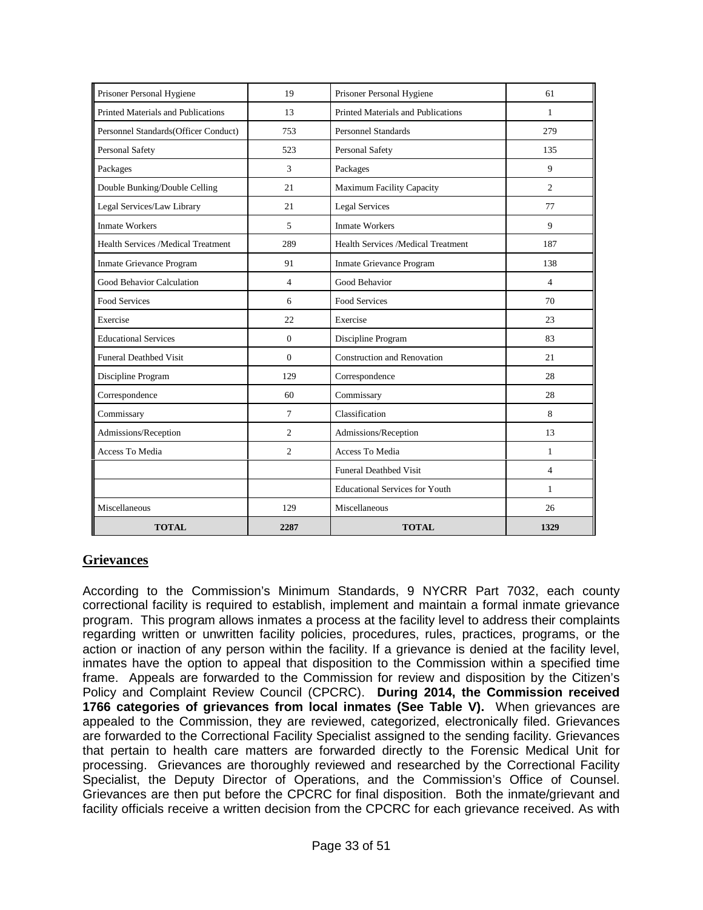| Prisoner Personal Hygiene                 | 19             | Prisoner Personal Hygiene<br>61          |                |  |  |
|-------------------------------------------|----------------|------------------------------------------|----------------|--|--|
| Printed Materials and Publications        | 13             | Printed Materials and Publications<br>1  |                |  |  |
| Personnel Standards(Officer Conduct)      | 753            | 279<br><b>Personnel Standards</b>        |                |  |  |
| Personal Safety                           | 523            | Personal Safety<br>135                   |                |  |  |
| Packages                                  | 3              | Packages                                 | 9              |  |  |
| Double Bunking/Double Celling             | 21             | Maximum Facility Capacity                | 2              |  |  |
| Legal Services/Law Library                | 21             | <b>Legal Services</b>                    | 77             |  |  |
| <b>Inmate Workers</b>                     | 5              | <b>Inmate Workers</b>                    | 9              |  |  |
| <b>Health Services /Medical Treatment</b> | 289            | Health Services /Medical Treatment       | 187            |  |  |
| Inmate Grievance Program                  | 91             | Inmate Grievance Program                 | 138            |  |  |
| Good Behavior Calculation                 | $\overline{4}$ | Good Behavior                            | $\overline{4}$ |  |  |
| <b>Food Services</b>                      | 6              | <b>Food Services</b>                     | 70             |  |  |
| Exercise                                  | 22             | Exercise<br>23                           |                |  |  |
| <b>Educational Services</b>               | $\mathbf{0}$   | Discipline Program<br>83                 |                |  |  |
| <b>Funeral Deathbed Visit</b>             | $\mathbf{0}$   | <b>Construction and Renovation</b><br>21 |                |  |  |
| Discipline Program                        | 129            | 28<br>Correspondence                     |                |  |  |
| Correspondence                            | 60             | Commissary                               | 28             |  |  |
| Commissary                                | $\overline{7}$ | Classification<br>8                      |                |  |  |
| Admissions/Reception                      | $\overline{c}$ | Admissions/Reception<br>13               |                |  |  |
| Access To Media                           | $\overline{c}$ | Access To Media                          | $\mathbf{1}$   |  |  |
|                                           |                | <b>Funeral Deathbed Visit</b>            | $\overline{4}$ |  |  |
|                                           |                | <b>Educational Services for Youth</b>    | $\mathbf{1}$   |  |  |
| Miscellaneous                             | 129            | Miscellaneous                            | 26             |  |  |
| <b>TOTAL</b>                              | 2287           | <b>TOTAL</b>                             | 1329           |  |  |

# **Grievances**

According to the Commission's Minimum Standards, 9 NYCRR Part 7032, each county correctional facility is required to establish, implement and maintain a formal inmate grievance program. This program allows inmates a process at the facility level to address their complaints regarding written or unwritten facility policies, procedures, rules, practices, programs, or the action or inaction of any person within the facility. If a grievance is denied at the facility level, inmates have the option to appeal that disposition to the Commission within a specified time frame. Appeals are forwarded to the Commission for review and disposition by the Citizen's Policy and Complaint Review Council (CPCRC). **During 2014, the Commission received 1766 categories of grievances from local inmates (See Table V).** When grievances are appealed to the Commission, they are reviewed, categorized, electronically filed. Grievances are forwarded to the Correctional Facility Specialist assigned to the sending facility. Grievances that pertain to health care matters are forwarded directly to the Forensic Medical Unit for processing. Grievances are thoroughly reviewed and researched by the Correctional Facility Specialist, the Deputy Director of Operations, and the Commission's Office of Counsel. Grievances are then put before the CPCRC for final disposition. Both the inmate/grievant and facility officials receive a written decision from the CPCRC for each grievance received. As with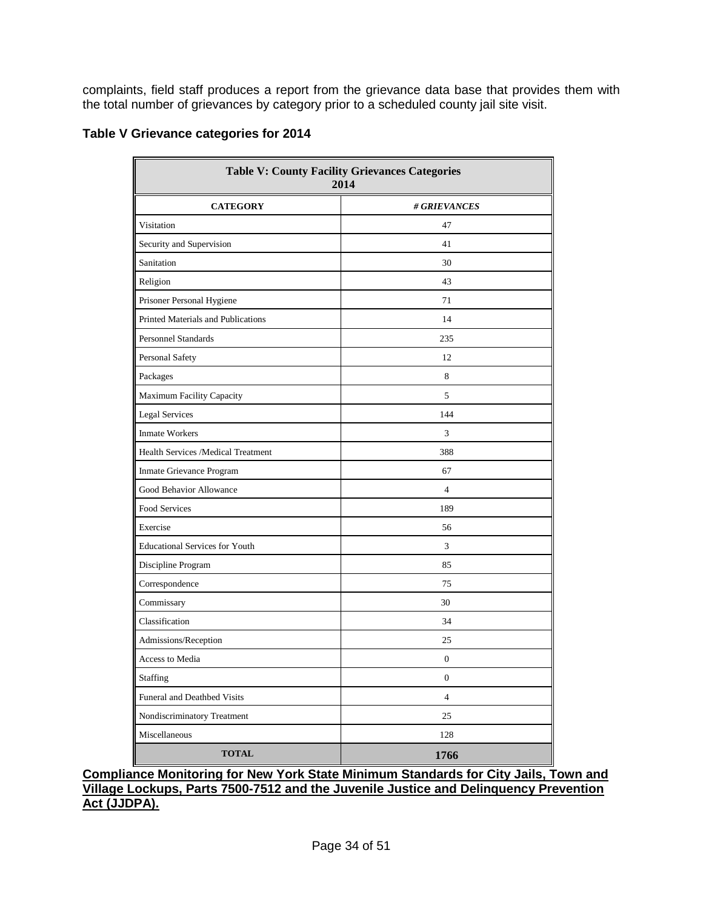complaints, field staff produces a report from the grievance data base that provides them with the total number of grievances by category prior to a scheduled county jail site visit.

# **Table V Grievance categories for 2014**

| <b>Table V: County Facility Grievances Categories</b><br>2014 |                  |  |  |  |  |
|---------------------------------------------------------------|------------------|--|--|--|--|
| <b>CATEGORY</b><br># GRIEVANCES                               |                  |  |  |  |  |
| Visitation                                                    | 47               |  |  |  |  |
| Security and Supervision                                      | 41               |  |  |  |  |
| Sanitation                                                    | 30               |  |  |  |  |
| Religion                                                      | 43               |  |  |  |  |
| Prisoner Personal Hygiene                                     | 71               |  |  |  |  |
| Printed Materials and Publications                            | 14               |  |  |  |  |
| <b>Personnel Standards</b>                                    | 235              |  |  |  |  |
| Personal Safety                                               | 12               |  |  |  |  |
| Packages                                                      | 8                |  |  |  |  |
| Maximum Facility Capacity                                     | 5                |  |  |  |  |
| Legal Services                                                | 144              |  |  |  |  |
| <b>Inmate Workers</b>                                         | 3                |  |  |  |  |
| Health Services /Medical Treatment                            | 388              |  |  |  |  |
| Inmate Grievance Program                                      | 67               |  |  |  |  |
| Good Behavior Allowance                                       | $\overline{4}$   |  |  |  |  |
| Food Services                                                 | 189              |  |  |  |  |
| Exercise                                                      | 56               |  |  |  |  |
| <b>Educational Services for Youth</b>                         | 3                |  |  |  |  |
| Discipline Program                                            | 85               |  |  |  |  |
| Correspondence                                                | 75               |  |  |  |  |
| Commissary                                                    | 30               |  |  |  |  |
| Classification                                                | 34               |  |  |  |  |
| Admissions/Reception                                          | 25               |  |  |  |  |
| Access to Media                                               | $\boldsymbol{0}$ |  |  |  |  |
| Staffing                                                      | $\boldsymbol{0}$ |  |  |  |  |
| Funeral and Deathbed Visits                                   | $\overline{4}$   |  |  |  |  |
| Nondiscriminatory Treatment                                   | 25               |  |  |  |  |
| Miscellaneous                                                 | 128              |  |  |  |  |
| <b>TOTAL</b>                                                  | 1766             |  |  |  |  |

**Compliance Monitoring for New York State Minimum Standards for City Jails, Town and Village Lockups, Parts 7500-7512 and the Juvenile Justice and Delinquency Prevention Act (JJDPA).**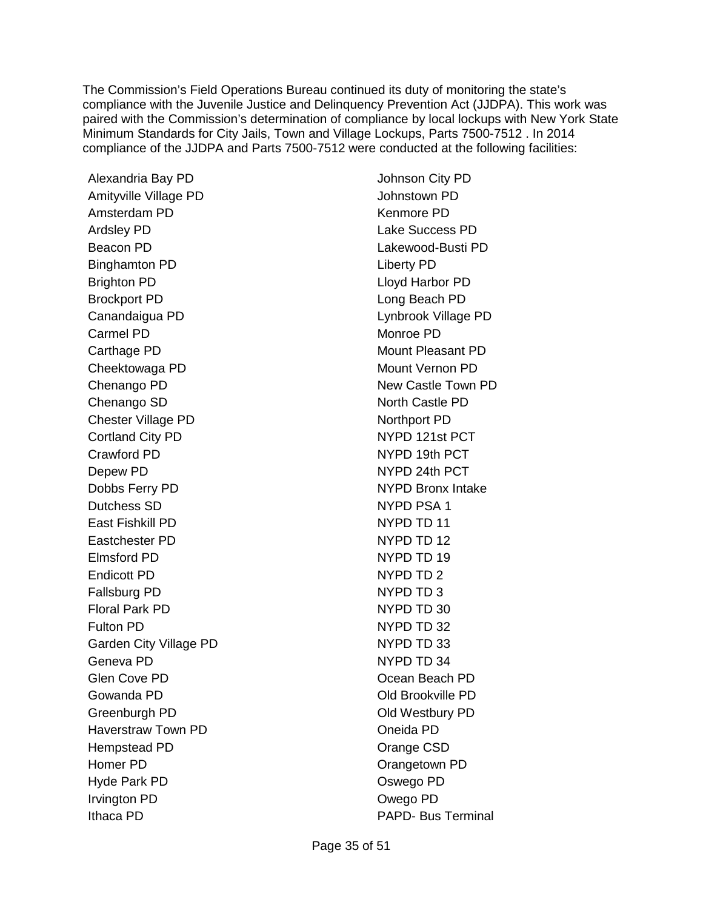The Commission's Field Operations Bureau continued its duty of monitoring the state's compliance with the Juvenile Justice and Delinquency Prevention Act (JJDPA). This work was paired with the Commission's determination of compliance by local lockups with New York State Minimum Standards for City Jails, Town and Village Lockups, Parts 7500-7512 . In 2014 compliance of the JJDPA and Parts 7500-7512 were conducted at the following facilities:

Alexandria Bay PD Amityville Village PD Amsterdam PD Ardsley PD Beacon PD Binghamton PD Brighton PD Brockport PD Canandaigua PD Carmel PD Carthage PD Cheektowaga PD Chenango PD Chenango SD Chester Village PD Cortland City PD Crawford PD Depew PD Dobbs Ferry PD Dutchess SD East Fishkill PD Eastchester PD Elmsford PD Endicott PD Fallsburg PD Floral Park PD Fulton PD Garden City Village PD Geneva PD Glen Cove PD Gowanda PD Greenburgh PD Haverstraw Town PD Hempstead PD Homer PD Hyde Park PD Irvington PD Ithaca PD

Johnson City PD Johnstown PD Kenmore PD Lake Success PD Lakewood-Busti PD Liberty PD Lloyd Harbor PD Long Beach PD Lynbrook Village PD Monroe PD Mount Pleasant PD Mount Vernon PD New Castle Town PD North Castle PD Northport PD NYPD 121st PCT NYPD 19th PCT NYPD 24th PCT NYPD Bronx Intake NYPD PSA 1 NYPD TD 11 NYPD TD 12 NYPD TD 19 NYPD TD 2 NYPD TD 3 NYPD TD 30 NYPD TD 32 NYPD TD 33 NYPD TD 34 Ocean Beach PD Old Brookville PD Old Westbury PD Oneida PD Orange CSD Orangetown PD Oswego PD Owego PD PAPD- Bus Terminal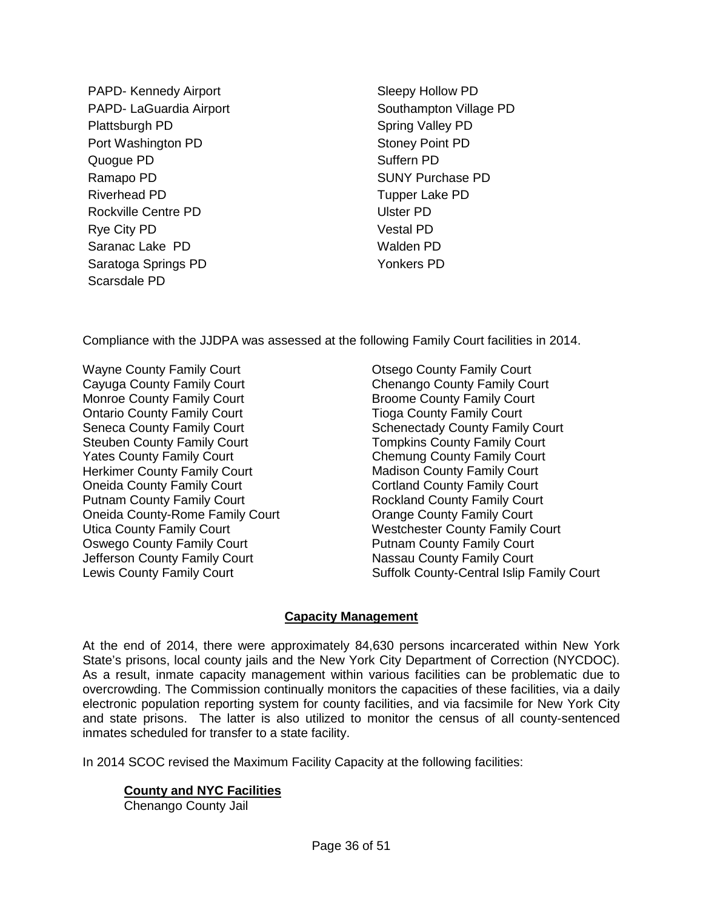PAPD- Kennedy Airport PAPD- LaGuardia Airport Plattsburgh PD Port Washington PD Quogue PD Ramapo PD Riverhead PD Rockville Centre PD Rye City PD Saranac Lake PD Saratoga Springs PD Scarsdale PD

Sleepy Hollow PD Southampton Village PD Spring Valley PD Stoney Point PD Suffern PD SUNY Purchase PD Tupper Lake PD Ulster PD Vestal PD Walden PD Yonkers PD

Compliance with the JJDPA was assessed at the following Family Court facilities in 2014.

Wayne County Family Court Cayuga County Family Court Monroe County Family Court Ontario County Family Court Seneca County Family Court Steuben County Family Court Yates County Family Court Herkimer County Family Court Oneida County Family Court Putnam County Family Court Oneida County-Rome Family Court Utica County Family Court Oswego County Family Court Jefferson County Family Court Lewis County Family Court

Otsego County Family Court Chenango County Family Court Broome County Family Court Tioga County Family Court Schenectady County Family Court Tompkins County Family Court Chemung County Family Court Madison County Family Court Cortland County Family Court Rockland County Family Court Orange County Family Court Westchester County Family Court Putnam County Family Court Nassau County Family Court Suffolk County-Central Islip Family Court

# **Capacity Management**

At the end of 2014, there were approximately 84,630 persons incarcerated within New York State's prisons, local county jails and the New York City Department of Correction (NYCDOC). As a result, inmate capacity management within various facilities can be problematic due to overcrowding. The Commission continually monitors the capacities of these facilities, via a daily electronic population reporting system for county facilities, and via facsimile for New York City and state prisons. The latter is also utilized to monitor the census of all county-sentenced inmates scheduled for transfer to a state facility.

In 2014 SCOC revised the Maximum Facility Capacity at the following facilities:

# **County and NYC Facilities**

Chenango County Jail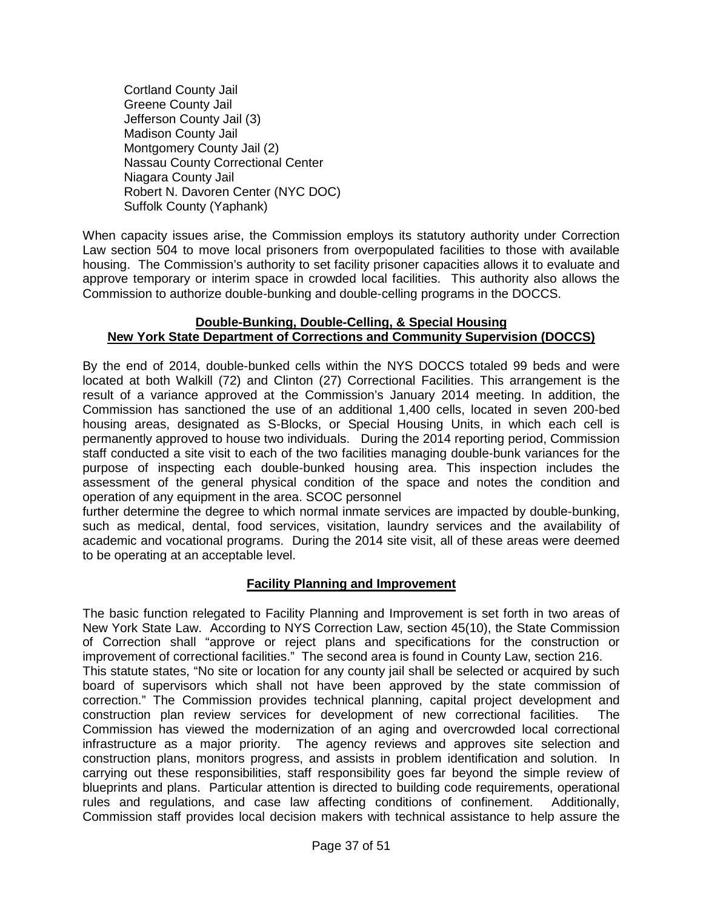Cortland County Jail Greene County Jail Jefferson County Jail (3) Madison County Jail Montgomery County Jail (2) Nassau County Correctional Center Niagara County Jail Robert N. Davoren Center (NYC DOC) Suffolk County (Yaphank)

When capacity issues arise, the Commission employs its statutory authority under Correction Law section 504 to move local prisoners from overpopulated facilities to those with available housing. The Commission's authority to set facility prisoner capacities allows it to evaluate and approve temporary or interim space in crowded local facilities. This authority also allows the Commission to authorize double-bunking and double-celling programs in the DOCCS.

# **Double-Bunking, Double-Celling, & Special Housing New York State Department of Corrections and Community Supervision (DOCCS)**

By the end of 2014, double-bunked cells within the NYS DOCCS totaled 99 beds and were located at both Walkill (72) and Clinton (27) Correctional Facilities. This arrangement is the result of a variance approved at the Commission's January 2014 meeting. In addition, the Commission has sanctioned the use of an additional 1,400 cells, located in seven 200-bed housing areas, designated as S-Blocks, or Special Housing Units, in which each cell is permanently approved to house two individuals. During the 2014 reporting period, Commission staff conducted a site visit to each of the two facilities managing double-bunk variances for the purpose of inspecting each double-bunked housing area. This inspection includes the assessment of the general physical condition of the space and notes the condition and operation of any equipment in the area. SCOC personnel

further determine the degree to which normal inmate services are impacted by double-bunking, such as medical, dental, food services, visitation, laundry services and the availability of academic and vocational programs. During the 2014 site visit, all of these areas were deemed to be operating at an acceptable level.

# **Facility Planning and Improvement**

The basic function relegated to Facility Planning and Improvement is set forth in two areas of New York State Law. According to NYS Correction Law, section 45(10), the State Commission of Correction shall "approve or reject plans and specifications for the construction or improvement of correctional facilities." The second area is found in County Law, section 216. This statute states, "No site or location for any county jail shall be selected or acquired by such board of supervisors which shall not have been approved by the state commission of correction." The Commission provides technical planning, capital project development and construction plan review services for development of new correctional facilities. The Commission has viewed the modernization of an aging and overcrowded local correctional infrastructure as a major priority. The agency reviews and approves site selection and construction plans, monitors progress, and assists in problem identification and solution. In carrying out these responsibilities, staff responsibility goes far beyond the simple review of blueprints and plans. Particular attention is directed to building code requirements, operational rules and regulations, and case law affecting conditions of confinement. Additionally, Commission staff provides local decision makers with technical assistance to help assure the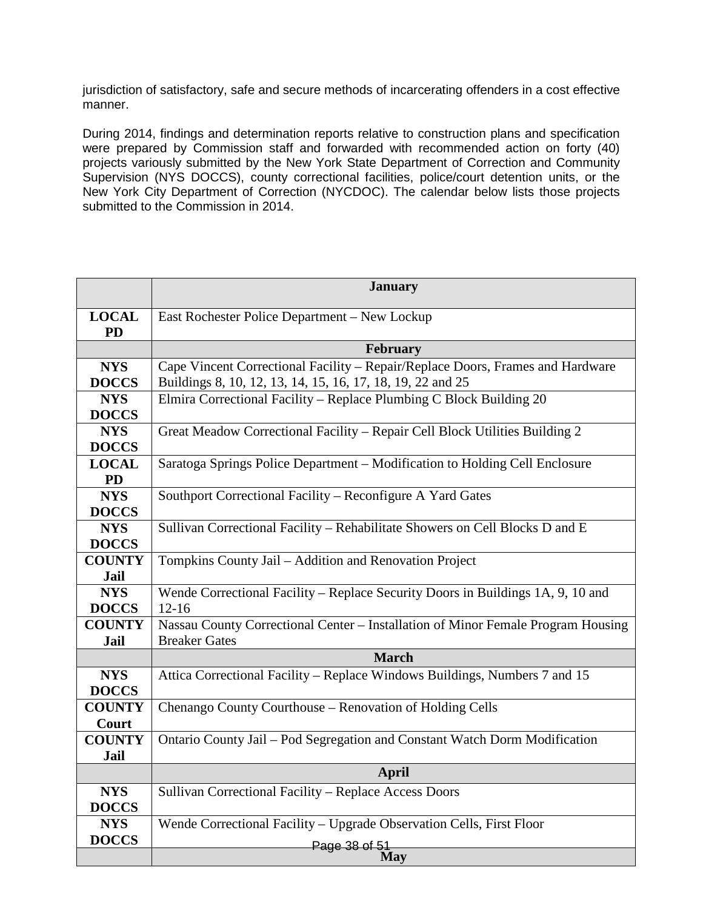jurisdiction of satisfactory, safe and secure methods of incarcerating offenders in a cost effective manner.

During 2014, findings and determination reports relative to construction plans and specification were prepared by Commission staff and forwarded with recommended action on forty (40) projects variously submitted by the New York State Department of Correction and Community Supervision (NYS DOCCS), county correctional facilities, police/court detention units, or the New York City Department of Correction (NYCDOC). The calendar below lists those projects submitted to the Commission in 2014.

|                           | <b>January</b>                                                                                |  |  |  |  |  |
|---------------------------|-----------------------------------------------------------------------------------------------|--|--|--|--|--|
| <b>LOCAL</b><br><b>PD</b> | East Rochester Police Department - New Lockup                                                 |  |  |  |  |  |
|                           | February                                                                                      |  |  |  |  |  |
| <b>NYS</b>                | Cape Vincent Correctional Facility – Repair/Replace Doors, Frames and Hardware                |  |  |  |  |  |
| <b>DOCCS</b>              | Buildings 8, 10, 12, 13, 14, 15, 16, 17, 18, 19, 22 and 25                                    |  |  |  |  |  |
| <b>NYS</b>                | Elmira Correctional Facility – Replace Plumbing C Block Building 20                           |  |  |  |  |  |
| <b>DOCCS</b>              |                                                                                               |  |  |  |  |  |
| <b>NYS</b>                | Great Meadow Correctional Facility - Repair Cell Block Utilities Building 2                   |  |  |  |  |  |
| <b>DOCCS</b>              |                                                                                               |  |  |  |  |  |
| <b>LOCAL</b><br><b>PD</b> | Saratoga Springs Police Department - Modification to Holding Cell Enclosure                   |  |  |  |  |  |
| <b>NYS</b>                | Southport Correctional Facility – Reconfigure A Yard Gates                                    |  |  |  |  |  |
| <b>DOCCS</b>              |                                                                                               |  |  |  |  |  |
| <b>NYS</b>                | Sullivan Correctional Facility - Rehabilitate Showers on Cell Blocks D and E                  |  |  |  |  |  |
| <b>DOCCS</b>              |                                                                                               |  |  |  |  |  |
| <b>COUNTY</b>             | Tompkins County Jail - Addition and Renovation Project                                        |  |  |  |  |  |
| Jail                      |                                                                                               |  |  |  |  |  |
| <b>NYS</b>                | Wende Correctional Facility – Replace Security Doors in Buildings $\overline{1A}$ , 9, 10 and |  |  |  |  |  |
| <b>DOCCS</b>              | $12-16$                                                                                       |  |  |  |  |  |
| <b>COUNTY</b>             | Nassau County Correctional Center – Installation of Minor Female Program Housing              |  |  |  |  |  |
| Jail                      | <b>Breaker Gates</b>                                                                          |  |  |  |  |  |
|                           | <b>March</b>                                                                                  |  |  |  |  |  |
| <b>NYS</b>                | Attica Correctional Facility - Replace Windows Buildings, Numbers 7 and 15                    |  |  |  |  |  |
| <b>DOCCS</b>              |                                                                                               |  |  |  |  |  |
| <b>COUNTY</b>             | Chenango County Courthouse - Renovation of Holding Cells                                      |  |  |  |  |  |
| Court                     |                                                                                               |  |  |  |  |  |
| <b>COUNTY</b>             | Ontario County Jail - Pod Segregation and Constant Watch Dorm Modification                    |  |  |  |  |  |
| <b>Jail</b>               |                                                                                               |  |  |  |  |  |
|                           | <b>April</b>                                                                                  |  |  |  |  |  |
| <b>NYS</b>                | Sullivan Correctional Facility - Replace Access Doors                                         |  |  |  |  |  |
| <b>DOCCS</b>              |                                                                                               |  |  |  |  |  |
| <b>NYS</b>                | Wende Correctional Facility - Upgrade Observation Cells, First Floor                          |  |  |  |  |  |
| <b>DOCCS</b>              | Page 38 of 51                                                                                 |  |  |  |  |  |
|                           | May                                                                                           |  |  |  |  |  |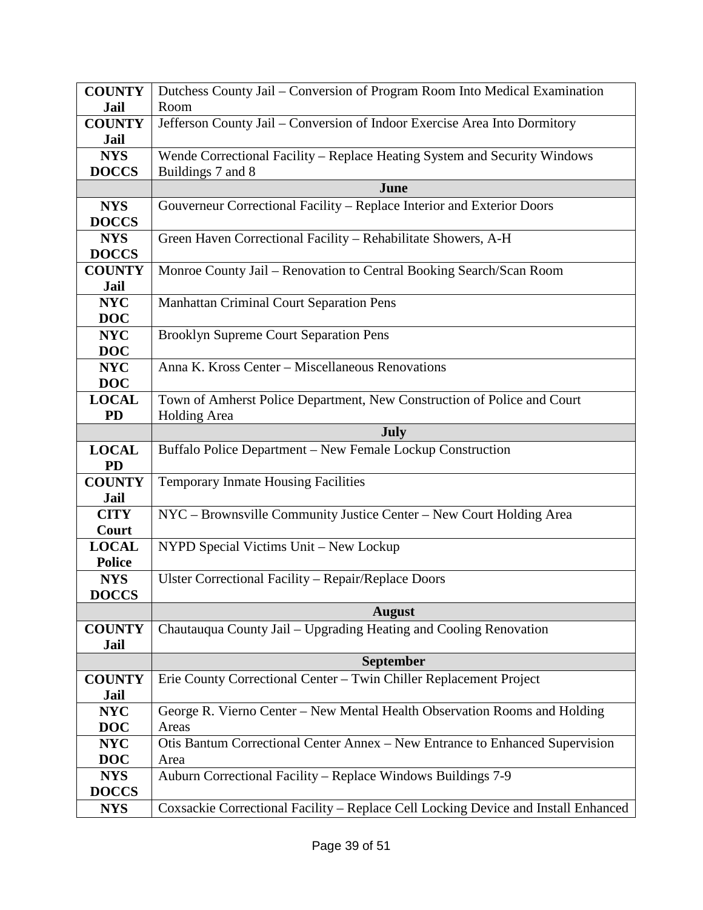| <b>COUNTY</b> | Dutchess County Jail - Conversion of Program Room Into Medical Examination         |
|---------------|------------------------------------------------------------------------------------|
| Jail          | Room                                                                               |
| <b>COUNTY</b> | Jefferson County Jail - Conversion of Indoor Exercise Area Into Dormitory          |
| Jail          |                                                                                    |
| <b>NYS</b>    | Wende Correctional Facility - Replace Heating System and Security Windows          |
| <b>DOCCS</b>  | Buildings 7 and 8                                                                  |
|               | June                                                                               |
| <b>NYS</b>    | Gouverneur Correctional Facility - Replace Interior and Exterior Doors             |
| <b>DOCCS</b>  |                                                                                    |
| <b>NYS</b>    | Green Haven Correctional Facility - Rehabilitate Showers, A-H                      |
| <b>DOCCS</b>  |                                                                                    |
| <b>COUNTY</b> | Monroe County Jail – Renovation to Central Booking Search/Scan Room                |
| Jail          |                                                                                    |
| <b>NYC</b>    | Manhattan Criminal Court Separation Pens                                           |
| <b>DOC</b>    |                                                                                    |
| <b>NYC</b>    | <b>Brooklyn Supreme Court Separation Pens</b>                                      |
| <b>DOC</b>    |                                                                                    |
| <b>NYC</b>    | Anna K. Kross Center – Miscellaneous Renovations                                   |
| <b>DOC</b>    |                                                                                    |
| <b>LOCAL</b>  | Town of Amherst Police Department, New Construction of Police and Court            |
| <b>PD</b>     | Holding Area                                                                       |
|               | July                                                                               |
| <b>LOCAL</b>  | Buffalo Police Department – New Female Lockup Construction                         |
| <b>PD</b>     |                                                                                    |
| <b>COUNTY</b> | Temporary Inmate Housing Facilities                                                |
| Jail          |                                                                                    |
| <b>CITY</b>   | NYC - Brownsville Community Justice Center - New Court Holding Area                |
| Court         |                                                                                    |
| <b>LOCAL</b>  | NYPD Special Victims Unit - New Lockup                                             |
| <b>Police</b> |                                                                                    |
| <b>NYS</b>    | Ulster Correctional Facility - Repair/Replace Doors                                |
| <b>DOCCS</b>  |                                                                                    |
|               | <b>August</b>                                                                      |
| <b>COUNTY</b> | Chautauqua County Jail – Upgrading Heating and Cooling Renovation                  |
| Jail          |                                                                                    |
|               | <b>September</b>                                                                   |
| <b>COUNTY</b> | Erie County Correctional Center - Twin Chiller Replacement Project                 |
| Jail          |                                                                                    |
| <b>NYC</b>    | George R. Vierno Center – New Mental Health Observation Rooms and Holding          |
| <b>DOC</b>    | Areas                                                                              |
| <b>NYC</b>    | Otis Bantum Correctional Center Annex - New Entrance to Enhanced Supervision       |
| <b>DOC</b>    | Area                                                                               |
| <b>NYS</b>    | Auburn Correctional Facility - Replace Windows Buildings 7-9                       |
| <b>DOCCS</b>  |                                                                                    |
| <b>NYS</b>    | Coxsackie Correctional Facility - Replace Cell Locking Device and Install Enhanced |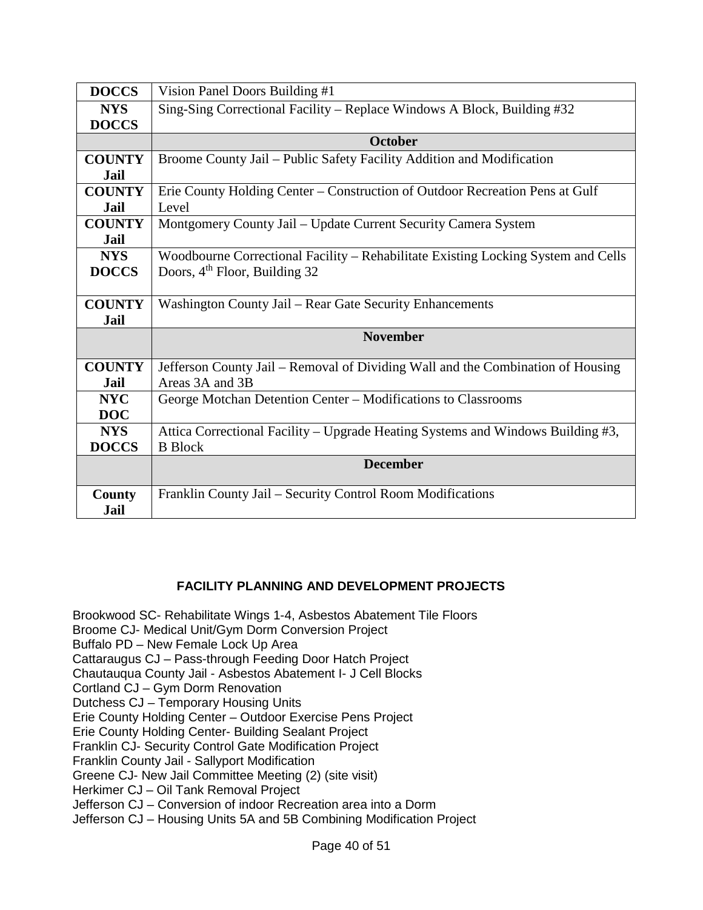| <b>DOCCS</b>  | Vision Panel Doors Building #1                                                    |
|---------------|-----------------------------------------------------------------------------------|
| <b>NYS</b>    | Sing-Sing Correctional Facility - Replace Windows A Block, Building #32           |
| <b>DOCCS</b>  |                                                                                   |
|               | <b>October</b>                                                                    |
| <b>COUNTY</b> | Broome County Jail – Public Safety Facility Addition and Modification             |
| Jail          |                                                                                   |
| <b>COUNTY</b> | Erie County Holding Center – Construction of Outdoor Recreation Pens at Gulf      |
| Jail          | Level                                                                             |
| <b>COUNTY</b> | Montgomery County Jail - Update Current Security Camera System                    |
| Jail          |                                                                                   |
| <b>NYS</b>    | Woodbourne Correctional Facility – Rehabilitate Existing Locking System and Cells |
| <b>DOCCS</b>  | Doors, $4th$ Floor, Building 32                                                   |
|               |                                                                                   |
| <b>COUNTY</b> | Washington County Jail – Rear Gate Security Enhancements                          |
| Jail          |                                                                                   |
|               | <b>November</b>                                                                   |
|               |                                                                                   |
| <b>COUNTY</b> | Jefferson County Jail – Removal of Dividing Wall and the Combination of Housing   |
| Jail          | Areas 3A and 3B                                                                   |
| <b>NYC</b>    | George Motchan Detention Center - Modifications to Classrooms                     |
| <b>DOC</b>    |                                                                                   |
| <b>NYS</b>    | Attica Correctional Facility – Upgrade Heating Systems and Windows Building #3,   |
| <b>DOCCS</b>  | <b>B</b> Block                                                                    |
|               | <b>December</b>                                                                   |
|               |                                                                                   |
| County        | Franklin County Jail - Security Control Room Modifications                        |
| Jail          |                                                                                   |

# **FACILITY PLANNING AND DEVELOPMENT PROJECTS**

 Brookwood SC- Rehabilitate Wings 1-4, Asbestos Abatement Tile Floors Broome CJ- Medical Unit/Gym Dorm Conversion Project Buffalo PD – New Female Lock Up Area Cattaraugus CJ – Pass-through Feeding Door Hatch Project Chautauqua County Jail - Asbestos Abatement I- J Cell Blocks Cortland CJ – Gym Dorm Renovation Dutchess CJ – Temporary Housing Units Erie County Holding Center – Outdoor Exercise Pens Project Erie County Holding Center- Building Sealant Project Franklin CJ- Security Control Gate Modification Project Franklin County Jail - Sallyport Modification Greene CJ- New Jail Committee Meeting (2) (site visit) Herkimer CJ – Oil Tank Removal Project Jefferson CJ – Conversion of indoor Recreation area into a Dorm Jefferson CJ – Housing Units 5A and 5B Combining Modification Project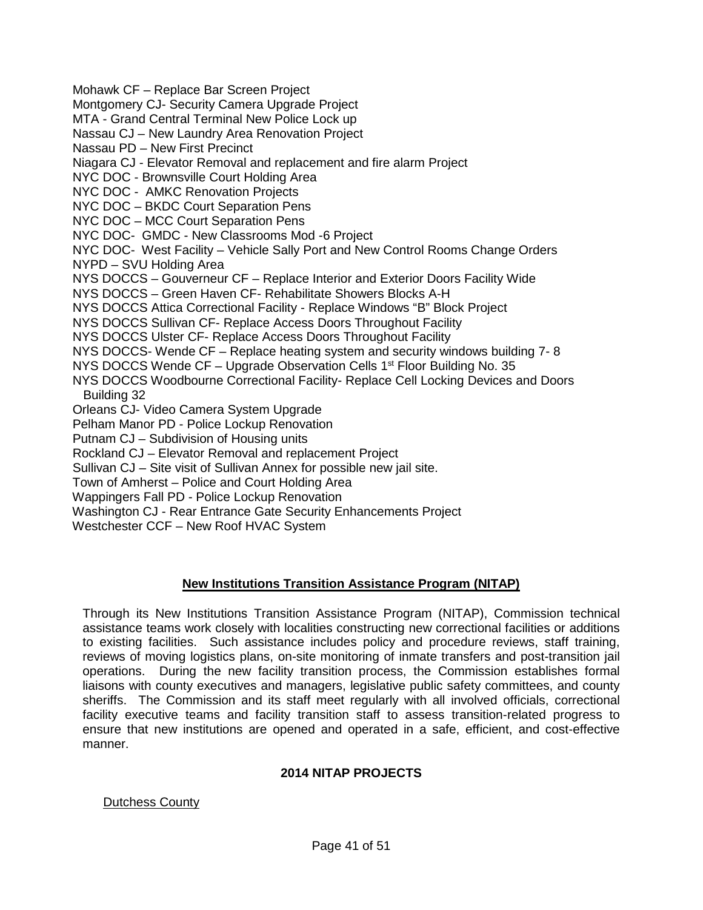Mohawk CF – Replace Bar Screen Project Montgomery CJ- Security Camera Upgrade Project MTA - Grand Central Terminal New Police Lock up Nassau CJ – New Laundry Area Renovation Project Nassau PD – New First Precinct Niagara CJ - Elevator Removal and replacement and fire alarm Project NYC DOC - Brownsville Court Holding Area NYC DOC - AMKC Renovation Projects NYC DOC – BKDC Court Separation Pens NYC DOC – MCC Court Separation Pens NYC DOC- GMDC - New Classrooms Mod -6 Project NYC DOC- West Facility – Vehicle Sally Port and New Control Rooms Change Orders NYPD – SVU Holding Area NYS DOCCS – Gouverneur CF – Replace Interior and Exterior Doors Facility Wide NYS DOCCS – Green Haven CF- Rehabilitate Showers Blocks A-H NYS DOCCS Attica Correctional Facility - Replace Windows "B" Block Project NYS DOCCS Sullivan CF- Replace Access Doors Throughout Facility NYS DOCCS Ulster CF- Replace Access Doors Throughout Facility NYS DOCCS- Wende CF – Replace heating system and security windows building 7- 8 NYS DOCCS Wende CF – Upgrade Observation Cells  $1<sup>st</sup>$  Floor Building No. 35 NYS DOCCS Woodbourne Correctional Facility- Replace Cell Locking Devices and Doors Building 32 Orleans CJ- Video Camera System Upgrade Pelham Manor PD - Police Lockup Renovation Putnam CJ – Subdivision of Housing units Rockland CJ – Elevator Removal and replacement Project Sullivan CJ – Site visit of Sullivan Annex for possible new jail site. Town of Amherst – Police and Court Holding Area Wappingers Fall PD - Police Lockup Renovation Washington CJ - Rear Entrance Gate Security Enhancements Project Westchester CCF – New Roof HVAC System

# **New Institutions Transition Assistance Program (NITAP)**

Through its New Institutions Transition Assistance Program (NITAP), Commission technical assistance teams work closely with localities constructing new correctional facilities or additions to existing facilities. Such assistance includes policy and procedure reviews, staff training, reviews of moving logistics plans, on-site monitoring of inmate transfers and post-transition jail operations. During the new facility transition process, the Commission establishes formal liaisons with county executives and managers, legislative public safety committees, and county sheriffs. The Commission and its staff meet regularly with all involved officials, correctional facility executive teams and facility transition staff to assess transition-related progress to ensure that new institutions are opened and operated in a safe, efficient, and cost-effective manner.

# **2014 NITAP PROJECTS**

# Dutchess County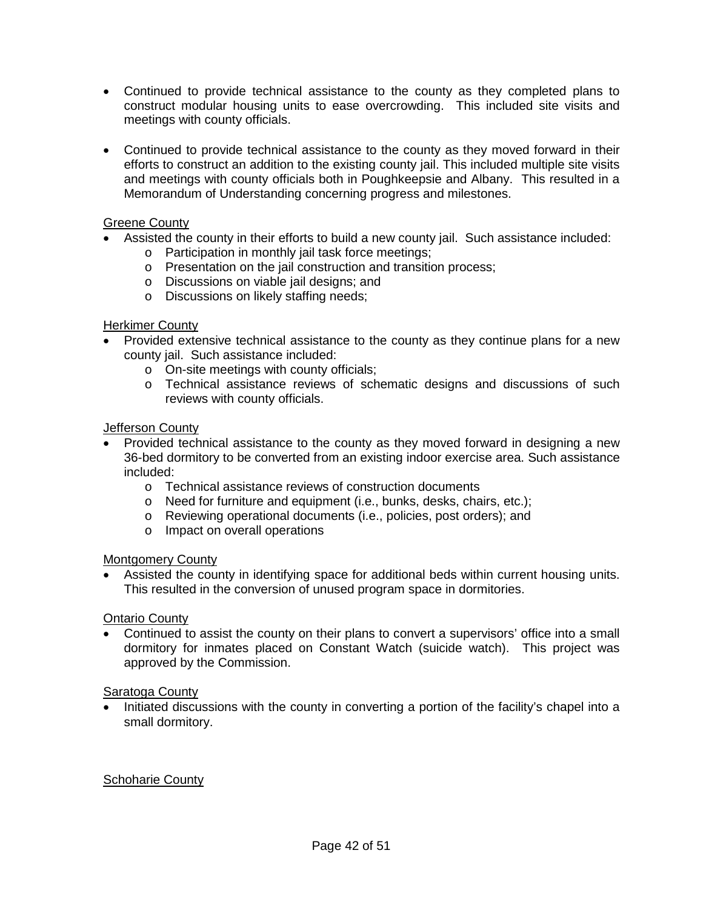- Continued to provide technical assistance to the county as they completed plans to construct modular housing units to ease overcrowding. This included site visits and meetings with county officials.
- Continued to provide technical assistance to the county as they moved forward in their efforts to construct an addition to the existing county jail. This included multiple site visits and meetings with county officials both in Poughkeepsie and Albany. This resulted in a Memorandum of Understanding concerning progress and milestones.

# Greene County

- Assisted the county in their efforts to build a new county jail. Such assistance included:
	- o Participation in monthly jail task force meetings;
	- o Presentation on the jail construction and transition process;
	- o Discussions on viable jail designs; and
	- o Discussions on likely staffing needs;

# Herkimer County

- Provided extensive technical assistance to the county as they continue plans for a new county jail. Such assistance included:
	- o On-site meetings with county officials;
	- o Technical assistance reviews of schematic designs and discussions of such reviews with county officials.

# Jefferson County

- Provided technical assistance to the county as they moved forward in designing a new 36-bed dormitory to be converted from an existing indoor exercise area. Such assistance included:
	- o Technical assistance reviews of construction documents
	- o Need for furniture and equipment (i.e., bunks, desks, chairs, etc.);
	- o Reviewing operational documents (i.e., policies, post orders); and
	- o Impact on overall operations

# Montgomery County

• Assisted the county in identifying space for additional beds within current housing units. This resulted in the conversion of unused program space in dormitories.

# Ontario County

• Continued to assist the county on their plans to convert a supervisors' office into a small dormitory for inmates placed on Constant Watch (suicide watch). This project was approved by the Commission.

# Saratoga County

• Initiated discussions with the county in converting a portion of the facility's chapel into a small dormitory.

# Schoharie County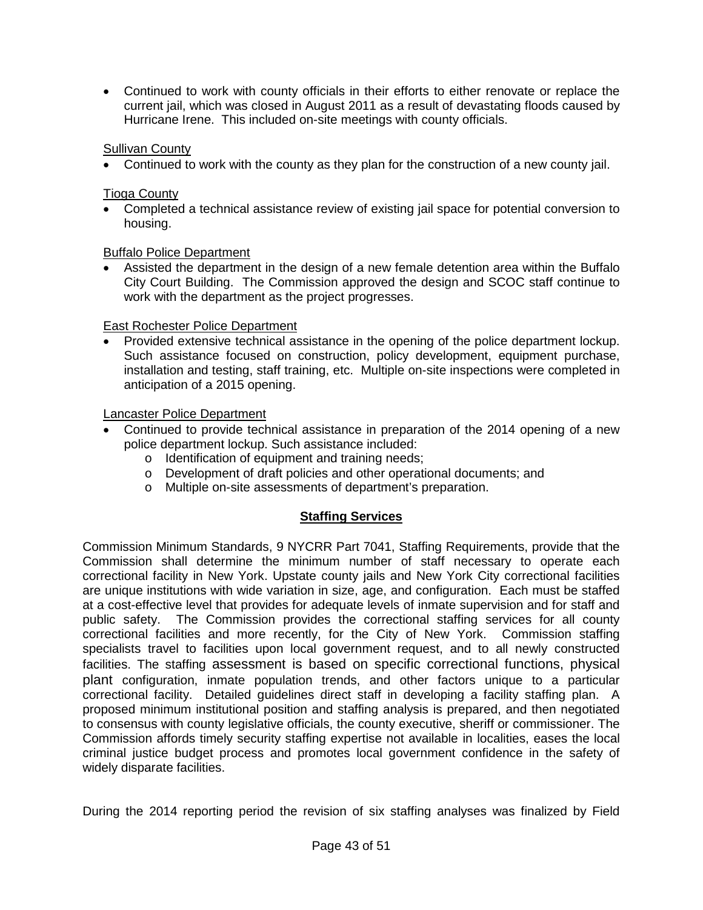• Continued to work with county officials in their efforts to either renovate or replace the current jail, which was closed in August 2011 as a result of devastating floods caused by Hurricane Irene. This included on-site meetings with county officials.

# Sullivan County

• Continued to work with the county as they plan for the construction of a new county jail.

# Tioga County

• Completed a technical assistance review of existing jail space for potential conversion to housing.

# Buffalo Police Department

• Assisted the department in the design of a new female detention area within the Buffalo City Court Building. The Commission approved the design and SCOC staff continue to work with the department as the project progresses.

# East Rochester Police Department

• Provided extensive technical assistance in the opening of the police department lockup. Such assistance focused on construction, policy development, equipment purchase, installation and testing, staff training, etc. Multiple on-site inspections were completed in anticipation of a 2015 opening.

# Lancaster Police Department

- Continued to provide technical assistance in preparation of the 2014 opening of a new police department lockup. Such assistance included:
	- o Identification of equipment and training needs;
	- o Development of draft policies and other operational documents; and
	- o Multiple on-site assessments of department's preparation.

# **Staffing Services**

Commission Minimum Standards, 9 NYCRR Part 7041, Staffing Requirements, provide that the Commission shall determine the minimum number of staff necessary to operate each correctional facility in New York. Upstate county jails and New York City correctional facilities are unique institutions with wide variation in size, age, and configuration. Each must be staffed at a cost-effective level that provides for adequate levels of inmate supervision and for staff and public safety. The Commission provides the correctional staffing services for all county correctional facilities and more recently, for the City of New York. Commission staffing specialists travel to facilities upon local government request, and to all newly constructed facilities. The staffing assessment is based on specific correctional functions, physical plant configuration, inmate population trends, and other factors unique to a particular correctional facility. Detailed guidelines direct staff in developing a facility staffing plan. A proposed minimum institutional position and staffing analysis is prepared, and then negotiated to consensus with county legislative officials, the county executive, sheriff or commissioner. The Commission affords timely security staffing expertise not available in localities, eases the local criminal justice budget process and promotes local government confidence in the safety of widely disparate facilities.

During the 2014 reporting period the revision of six staffing analyses was finalized by Field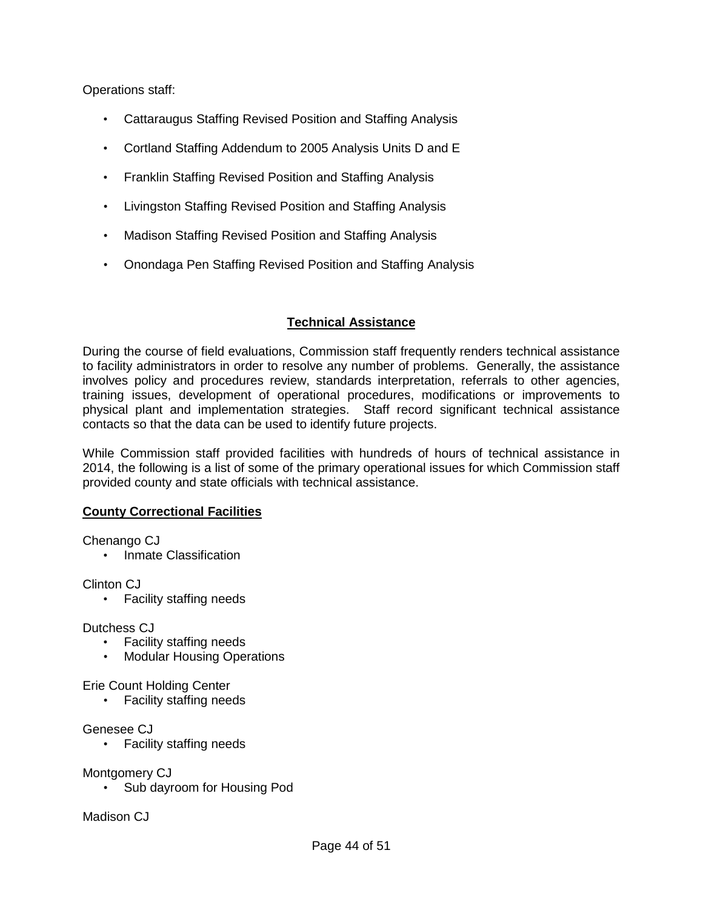Operations staff:

- Cattaraugus Staffing Revised Position and Staffing Analysis
- Cortland Staffing Addendum to 2005 Analysis Units D and E
- Franklin Staffing Revised Position and Staffing Analysis
- Livingston Staffing Revised Position and Staffing Analysis
- Madison Staffing Revised Position and Staffing Analysis
- Onondaga Pen Staffing Revised Position and Staffing Analysis

# **Technical Assistance**

During the course of field evaluations, Commission staff frequently renders technical assistance to facility administrators in order to resolve any number of problems. Generally, the assistance involves policy and procedures review, standards interpretation, referrals to other agencies, training issues, development of operational procedures, modifications or improvements to physical plant and implementation strategies. Staff record significant technical assistance contacts so that the data can be used to identify future projects.

While Commission staff provided facilities with hundreds of hours of technical assistance in 2014, the following is a list of some of the primary operational issues for which Commission staff provided county and state officials with technical assistance.

# **County Correctional Facilities**

Chenango CJ

• Inmate Classification

Clinton CJ

• Facility staffing needs

Dutchess CJ

- Facility staffing needs
- Modular Housing Operations

Erie Count Holding Center

• Facility staffing needs

Genesee CJ

• Facility staffing needs

Montgomery CJ

• Sub dayroom for Housing Pod

Madison CJ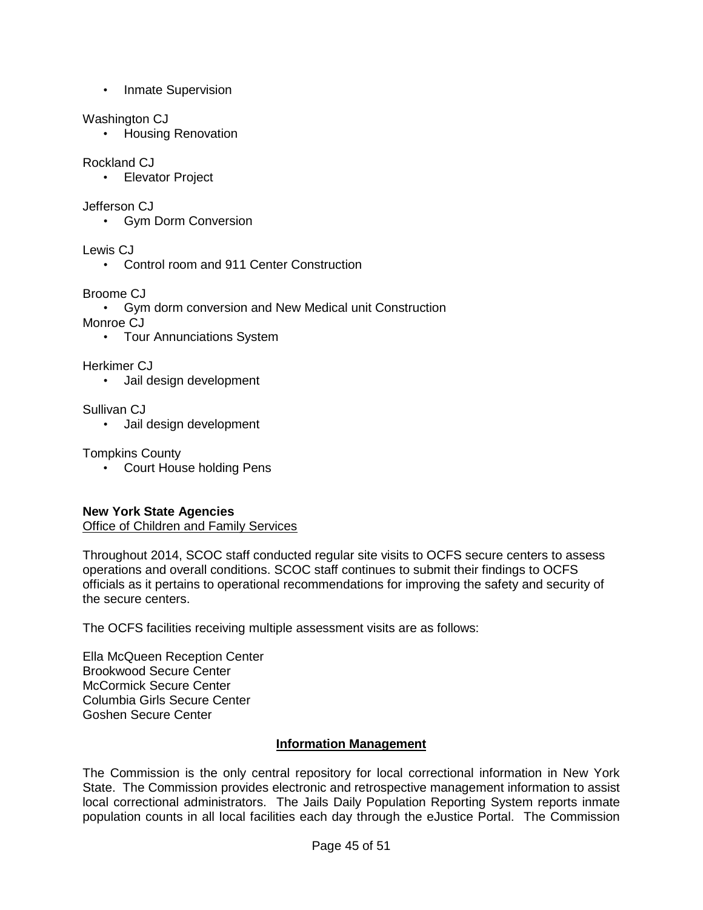• Inmate Supervision

# Washington CJ

• Housing Renovation

# Rockland CJ

• Elevator Project

# Jefferson CJ

• Gym Dorm Conversion

Lewis CJ

• Control room and 911 Center Construction

# Broome CJ

• Gym dorm conversion and New Medical unit Construction

Monroe CJ

• Tour Annunciations System

Herkimer CJ

• Jail design development

Sullivan CJ

• Jail design development

Tompkins County

• Court House holding Pens

# **New York State Agencies**

Office of Children and Family Services

Throughout 2014, SCOC staff conducted regular site visits to OCFS secure centers to assess operations and overall conditions. SCOC staff continues to submit their findings to OCFS officials as it pertains to operational recommendations for improving the safety and security of the secure centers.

The OCFS facilities receiving multiple assessment visits are as follows:

Ella McQueen Reception Center Brookwood Secure Center McCormick Secure Center Columbia Girls Secure Center Goshen Secure Center

# **Information Management**

The Commission is the only central repository for local correctional information in New York State. The Commission provides electronic and retrospective management information to assist local correctional administrators. The Jails Daily Population Reporting System reports inmate population counts in all local facilities each day through the eJustice Portal. The Commission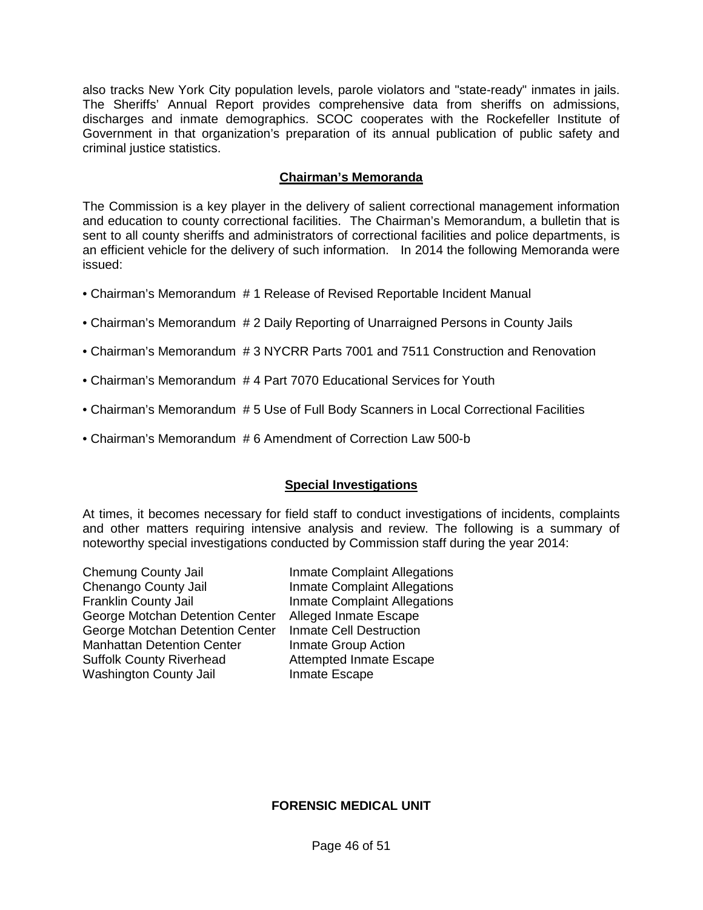also tracks New York City population levels, parole violators and "state-ready" inmates in jails. The Sheriffs' Annual Report provides comprehensive data from sheriffs on admissions, discharges and inmate demographics. SCOC cooperates with the Rockefeller Institute of Government in that organization's preparation of its annual publication of public safety and criminal justice statistics.

# **Chairman's Memoranda**

The Commission is a key player in the delivery of salient correctional management information and education to county correctional facilities. The Chairman's Memorandum, a bulletin that is sent to all county sheriffs and administrators of correctional facilities and police departments, is an efficient vehicle for the delivery of such information. In 2014 the following Memoranda were issued:

- Chairman's Memorandum # 1 Release of Revised Reportable Incident Manual
- Chairman's Memorandum # 2 Daily Reporting of Unarraigned Persons in County Jails
- Chairman's Memorandum # 3 NYCRR Parts 7001 and 7511 Construction and Renovation
- Chairman's Memorandum # 4 Part 7070 Educational Services for Youth
- Chairman's Memorandum # 5 Use of Full Body Scanners in Local Correctional Facilities
- Chairman's Memorandum # 6 Amendment of Correction Law 500-b

# **Special Investigations**

At times, it becomes necessary for field staff to conduct investigations of incidents, complaints and other matters requiring intensive analysis and review. The following is a summary of noteworthy special investigations conducted by Commission staff during the year 2014:

Chemung County Jail **Inmate Complaint Allegations** Chenango County Jail **Inmate Complaint Allegations**<br> **Franklin County Jail Inmate Complaint Allegations** George Motchan Detention Center Alleged Inmate Escape George Motchan Detention Center Inmate Cell Destruction Manhattan Detention Center<br>
Suffolk County Riverhead<br>
Attempted Inmate Es Washington County Jail **Inmate Escape** 

**Inmate Complaint Allegations** Attempted Inmate Escape

# **FORENSIC MEDICAL UNIT**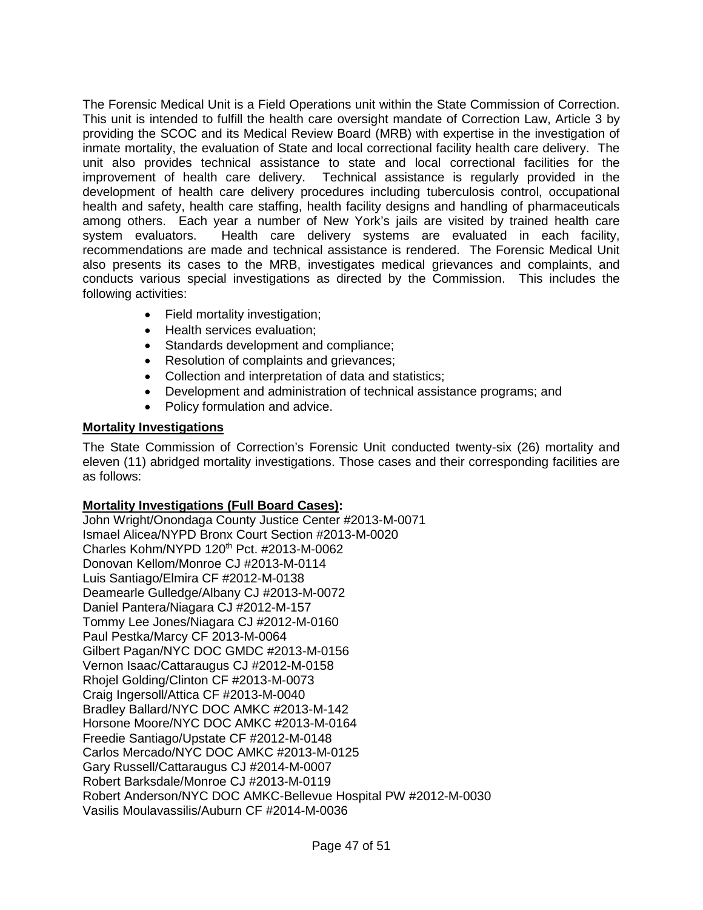The Forensic Medical Unit is a Field Operations unit within the State Commission of Correction. This unit is intended to fulfill the health care oversight mandate of Correction Law, Article 3 by providing the SCOC and its Medical Review Board (MRB) with expertise in the investigation of inmate mortality, the evaluation of State and local correctional facility health care delivery. The unit also provides technical assistance to state and local correctional facilities for the improvement of health care delivery. Technical assistance is regularly provided in the development of health care delivery procedures including tuberculosis control, occupational health and safety, health care staffing, health facility designs and handling of pharmaceuticals among others. Each year a number of New York's jails are visited by trained health care Health care delivery systems are evaluated in each facility, recommendations are made and technical assistance is rendered. The Forensic Medical Unit also presents its cases to the MRB, investigates medical grievances and complaints, and conducts various special investigations as directed by the Commission. This includes the following activities:

- Field mortality investigation;
- Health services evaluation:
- Standards development and compliance;
- Resolution of complaints and grievances;
- Collection and interpretation of data and statistics;
- Development and administration of technical assistance programs; and
- Policy formulation and advice.

# **Mortality Investigations**

The State Commission of Correction's Forensic Unit conducted twenty-six (26) mortality and eleven (11) abridged mortality investigations. Those cases and their corresponding facilities are as follows:

# **Mortality Investigations (Full Board Cases):**

John Wright/Onondaga County Justice Center #2013-M-0071 Ismael Alicea/NYPD Bronx Court Section #2013-M-0020 Charles Kohm/NYPD 120th Pct. #2013-M-0062 Donovan Kellom/Monroe CJ #2013-M-0114 Luis Santiago/Elmira CF #2012-M-0138 Deamearle Gulledge/Albany CJ #2013-M-0072 Daniel Pantera/Niagara CJ #2012-M-157 Tommy Lee Jones/Niagara CJ #2012-M-0160 Paul Pestka/Marcy CF 2013-M-0064 Gilbert Pagan/NYC DOC GMDC #2013-M-0156 Vernon Isaac/Cattaraugus CJ #2012-M-0158 Rhojel Golding/Clinton CF #2013-M-0073 Craig Ingersoll/Attica CF #2013-M-0040 Bradley Ballard/NYC DOC AMKC #2013-M-142 Horsone Moore/NYC DOC AMKC #2013-M-0164 Freedie Santiago/Upstate CF #2012-M-0148 Carlos Mercado/NYC DOC AMKC #2013-M-0125 Gary Russell/Cattaraugus CJ #2014-M-0007 Robert Barksdale/Monroe CJ #2013-M-0119 Robert Anderson/NYC DOC AMKC-Bellevue Hospital PW #2012-M-0030 Vasilis Moulavassilis/Auburn CF #2014-M-0036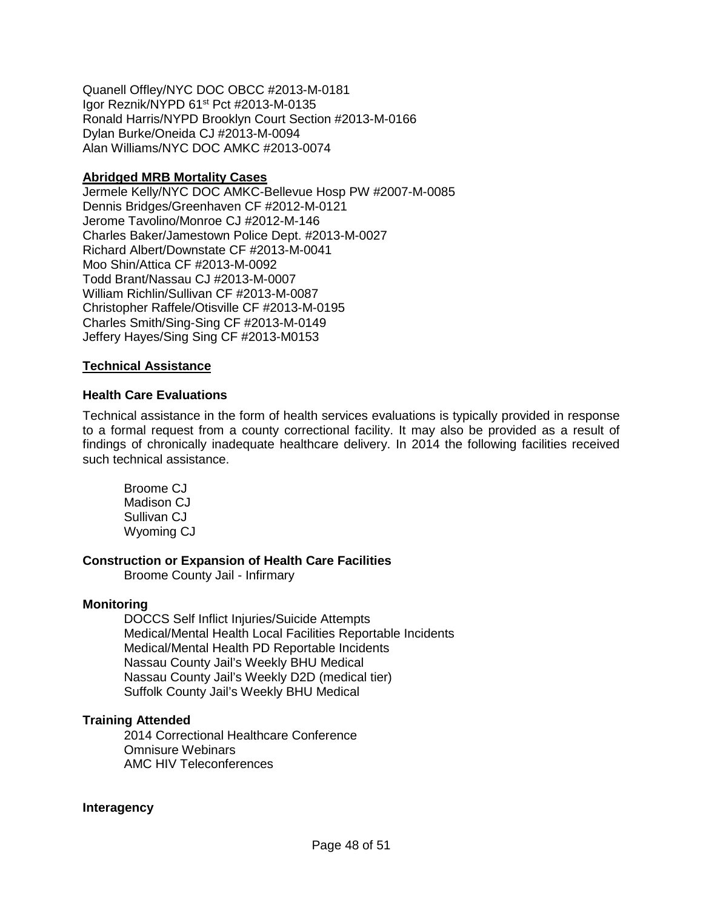Quanell Offley/NYC DOC OBCC #2013-M-0181 Igor Reznik/NYPD 61<sup>st</sup> Pct #2013-M-0135 Ronald Harris/NYPD Brooklyn Court Section #2013-M-0166 Dylan Burke/Oneida CJ #2013-M-0094 Alan Williams/NYC DOC AMKC #2013-0074

# **Abridged MRB Mortality Cases**

Jermele Kelly/NYC DOC AMKC-Bellevue Hosp PW #2007-M-0085 Dennis Bridges/Greenhaven CF #2012-M-0121 Jerome Tavolino/Monroe CJ #2012-M-146 Charles Baker/Jamestown Police Dept. #2013-M-0027 Richard Albert/Downstate CF #2013-M-0041 Moo Shin/Attica CF #2013-M-0092 Todd Brant/Nassau CJ #2013-M-0007 William Richlin/Sullivan CF #2013-M-0087 Christopher Raffele/Otisville CF #2013-M-0195 Charles Smith/Sing-Sing CF #2013-M-0149 Jeffery Hayes/Sing Sing CF #2013-M0153

# **Technical Assistance**

# **Health Care Evaluations**

Technical assistance in the form of health services evaluations is typically provided in response to a formal request from a county correctional facility. It may also be provided as a result of findings of chronically inadequate healthcare delivery. In 2014 the following facilities received such technical assistance.

Broome CJ Madison CJ Sullivan CJ Wyoming CJ

# **Construction or Expansion of Health Care Facilities**

Broome County Jail - Infirmary

### **Monitoring**

DOCCS Self Inflict Injuries/Suicide Attempts Medical/Mental Health Local Facilities Reportable Incidents Medical/Mental Health PD Reportable Incidents Nassau County Jail's Weekly BHU Medical Nassau County Jail's Weekly D2D (medical tier) Suffolk County Jail's Weekly BHU Medical

# **Training Attended**

2014 Correctional Healthcare Conference Omnisure Webinars AMC HIV Teleconferences

### **Interagency**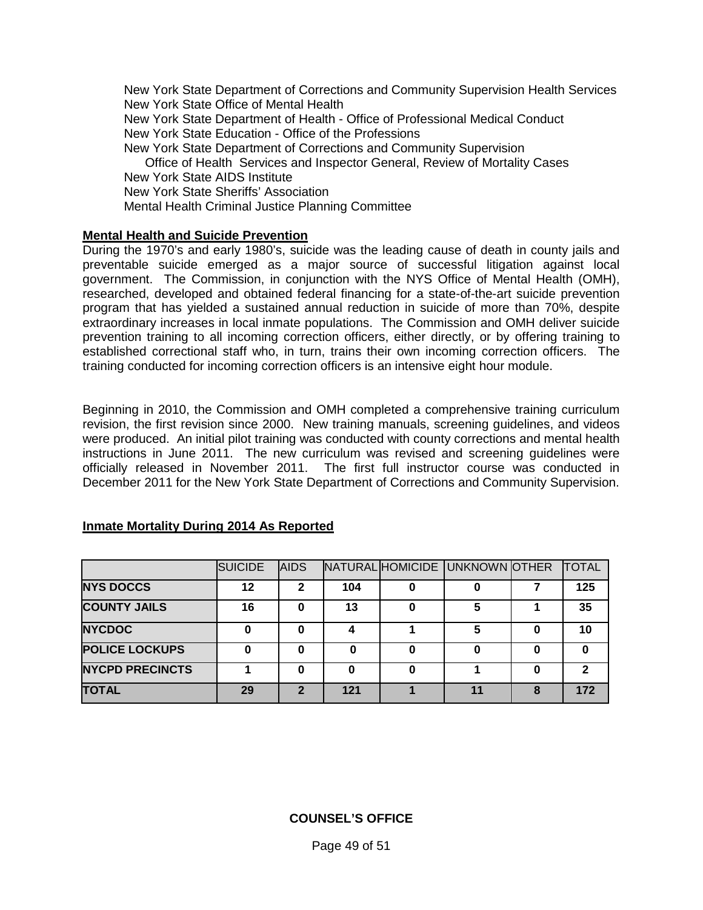New York State Department of Corrections and Community Supervision Health Services New York State Office of Mental Health New York State Department of Health - Office of Professional Medical Conduct New York State Education - Office of the Professions New York State Department of Corrections and Community Supervision Office of Health Services and Inspector General, Review of Mortality Cases New York State AIDS Institute New York State Sheriffs' Association Mental Health Criminal Justice Planning Committee

### **Mental Health and Suicide Prevention**

During the 1970's and early 1980's, suicide was the leading cause of death in county jails and preventable suicide emerged as a major source of successful litigation against local government. The Commission, in conjunction with the NYS Office of Mental Health (OMH), researched, developed and obtained federal financing for a state-of-the-art suicide prevention program that has yielded a sustained annual reduction in suicide of more than 70%, despite extraordinary increases in local inmate populations. The Commission and OMH deliver suicide prevention training to all incoming correction officers, either directly, or by offering training to established correctional staff who, in turn, trains their own incoming correction officers. The training conducted for incoming correction officers is an intensive eight hour module.

Beginning in 2010, the Commission and OMH completed a comprehensive training curriculum revision, the first revision since 2000. New training manuals, screening guidelines, and videos were produced. An initial pilot training was conducted with county corrections and mental health instructions in June 2011. The new curriculum was revised and screening guidelines were officially released in November 2011. The first full instructor course was conducted in December 2011 for the New York State Department of Corrections and Community Supervision.

|                        | <b>SUICIDE</b> | <b>AIDS</b> |     | NATURAL HOMICIDE UNKNOWN OTHER |   | <b>TOTAL</b> |
|------------------------|----------------|-------------|-----|--------------------------------|---|--------------|
| <b>NYS DOCCS</b>       | 12             |             | 104 |                                |   | 125          |
| <b>COUNTY JAILS</b>    | 16             | O           | 13  | 5                              |   | 35           |
| <b>NYCDOC</b>          |                |             |     | 5                              |   | 10           |
| <b>POLICE LOCKUPS</b>  |                |             | 0   |                                |   |              |
| <b>NYCPD PRECINCTS</b> |                |             | 0   |                                |   |              |
| <b>TOTAL</b>           | 29             |             | 121 |                                | 8 | 172          |

### **Inmate Mortality During 2014 As Reported**

# **COUNSEL'S OFFICE**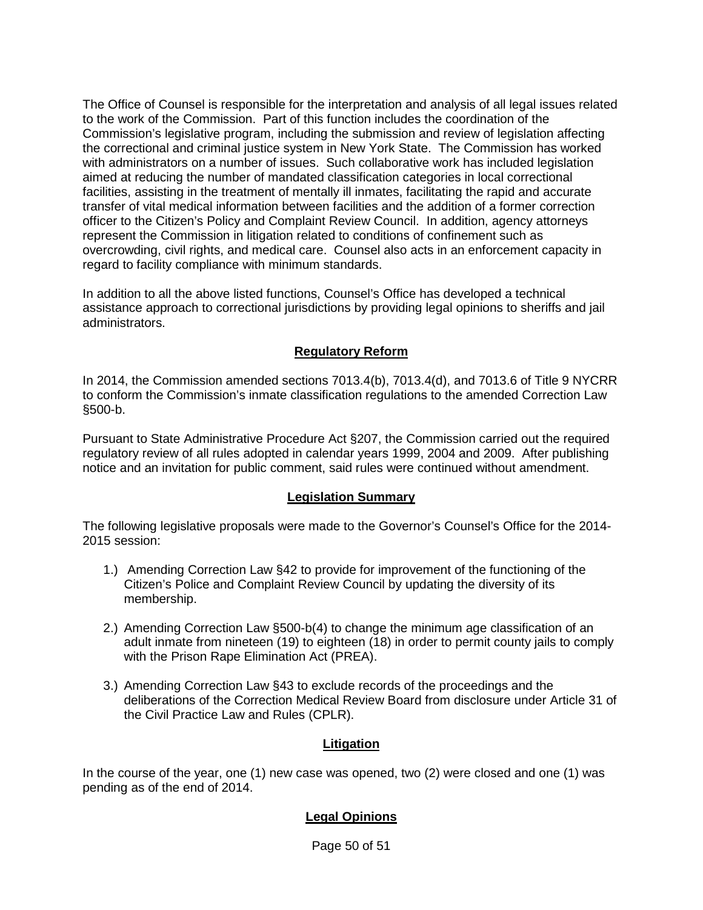The Office of Counsel is responsible for the interpretation and analysis of all legal issues related to the work of the Commission. Part of this function includes the coordination of the Commission's legislative program, including the submission and review of legislation affecting the correctional and criminal justice system in New York State. The Commission has worked with administrators on a number of issues. Such collaborative work has included legislation aimed at reducing the number of mandated classification categories in local correctional facilities, assisting in the treatment of mentally ill inmates, facilitating the rapid and accurate transfer of vital medical information between facilities and the addition of a former correction officer to the Citizen's Policy and Complaint Review Council. In addition, agency attorneys represent the Commission in litigation related to conditions of confinement such as overcrowding, civil rights, and medical care. Counsel also acts in an enforcement capacity in regard to facility compliance with minimum standards.

In addition to all the above listed functions, Counsel's Office has developed a technical assistance approach to correctional jurisdictions by providing legal opinions to sheriffs and jail administrators.

# **Regulatory Reform**

In 2014, the Commission amended sections 7013.4(b), 7013.4(d), and 7013.6 of Title 9 NYCRR to conform the Commission's inmate classification regulations to the amended Correction Law §500-b.

Pursuant to State Administrative Procedure Act §207, the Commission carried out the required regulatory review of all rules adopted in calendar years 1999, 2004 and 2009. After publishing notice and an invitation for public comment, said rules were continued without amendment.

### **Legislation Summary**

The following legislative proposals were made to the Governor's Counsel's Office for the 2014- 2015 session:

- 1.) Amending Correction Law §42 to provide for improvement of the functioning of the Citizen's Police and Complaint Review Council by updating the diversity of its membership.
- 2.) Amending Correction Law §500-b(4) to change the minimum age classification of an adult inmate from nineteen (19) to eighteen (18) in order to permit county jails to comply with the Prison Rape Elimination Act (PREA).
- 3.) Amending Correction Law §43 to exclude records of the proceedings and the deliberations of the Correction Medical Review Board from disclosure under Article 31 of the Civil Practice Law and Rules (CPLR).

# **Litigation**

In the course of the year, one (1) new case was opened, two (2) were closed and one (1) was pending as of the end of 2014.

# **Legal Opinions**

Page 50 of 51